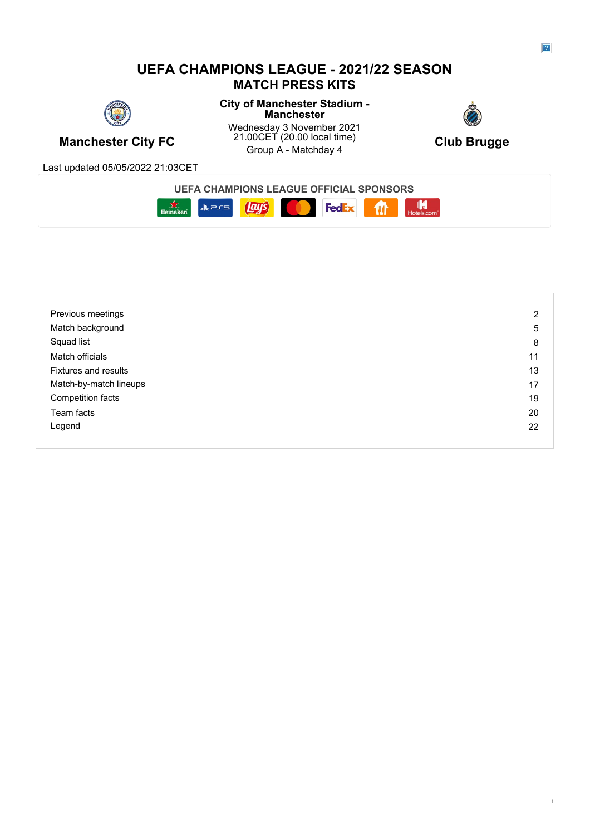## **UEFA CHAMPIONS LEAGUE - 2021/22 SEASON MATCH PRESS KITS**



**City of Manchester Stadium - Manchester**



**Manchester City FC** 21.00CET (20.00 local time) Club Brugge<br>Group A - Matchday 4 Wednesday 3 November 2021 21.00CET (20.00 local time) Club Brunge Group A - Matchday 4 **Club Brugge**



Last updated 05/05/2022 21:03CET

# **UEFA CHAMPIONS LEAGUE OFFICIAL SPONSORS**



| Previous meetings           | $\overline{2}$ |
|-----------------------------|----------------|
| Match background            | 5              |
| Squad list                  | 8              |
| Match officials             | 11             |
| <b>Fixtures and results</b> | 13             |
| Match-by-match lineups      | 17             |
| Competition facts           | 19             |
| Team facts                  | 20             |
| Legend                      | 22             |
|                             |                |

1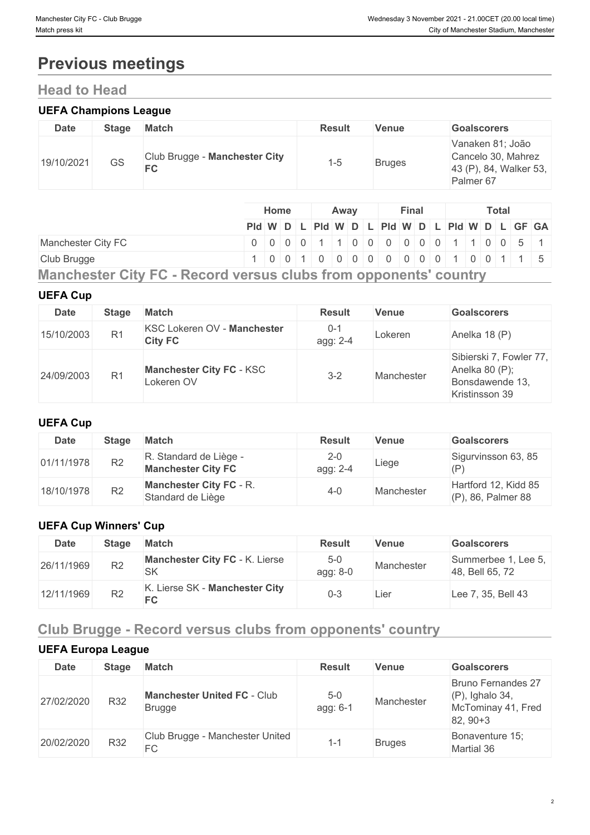# **Previous meetings**

# **Head to Head**

#### **UEFA Champions League**

| Date       | <b>Stage</b> | <b>Match</b>                               | <b>Result</b> | <b>Venue</b>  | <b>Goalscorers</b>                                                                       |
|------------|--------------|--------------------------------------------|---------------|---------------|------------------------------------------------------------------------------------------|
| 19/10/2021 | GS           | Club Brugge - Manchester City<br><b>FC</b> | 1-5           | <b>Bruges</b> | Vanaken 81; João<br>Cancelo 30, Mahrez<br>43 (P), 84, Walker 53,<br>Palmer <sub>67</sub> |

|                                                                  | Home |  | Away |  | <b>Final</b> |  |  | Total                                         |  |  |
|------------------------------------------------------------------|------|--|------|--|--------------|--|--|-----------------------------------------------|--|--|
|                                                                  |      |  |      |  |              |  |  | Pid W D L Pid W D L Pid W D L Pid W D L GF GA |  |  |
| Manchester City FC                                               |      |  |      |  |              |  |  | 0 0 0 0 0 1 1 0 0 0 0 0 0 0 1 1 0 0 5 1       |  |  |
| Club Brugge                                                      |      |  |      |  |              |  |  | 1 0 0 1 0 0 0 0 0 0 0 0 0 0 1 0 0 1 1 5       |  |  |
| Manchester City FC - Record versus clubs from opponents' country |      |  |      |  |              |  |  |                                               |  |  |

#### **UEFA Cup**

| <b>Date</b> | <b>Stage</b>   | <b>Match</b>                                         | <b>Result</b>       | <b>Venue</b> | <b>Goalscorers</b>                                                             |
|-------------|----------------|------------------------------------------------------|---------------------|--------------|--------------------------------------------------------------------------------|
| 15/10/2003  | R <sub>1</sub> | <b>KSC Lokeren OV - Manchester</b><br><b>City FC</b> | $0 - 1$<br>agg: 2-4 | Lokeren      | Anelka 18 (P)                                                                  |
| 24/09/2003  | R <sub>1</sub> | <b>Manchester City FC - KSC</b><br>Lokeren OV        | $3 - 2$             | Manchester   | Sibierski 7, Fowler 77,<br>Anelka 80 (P);<br>Bonsdawende 13,<br>Kristinsson 39 |

#### **UEFA Cup**

| Date       | <b>Stage</b>   | <b>Match</b>                                        | <b>Result</b>       | Venue      | <b>Goalscorers</b>                            |
|------------|----------------|-----------------------------------------------------|---------------------|------------|-----------------------------------------------|
| 01/11/1978 | R <sub>2</sub> | R. Standard de Liège -<br><b>Manchester City FC</b> | $2 - 0$<br>agg: 2-4 | Liege      | Sigurvinsson 63, 85                           |
| 18/10/1978 | R <sub>2</sub> | <b>Manchester City FC - R.</b><br>Standard de Liège | $4 - 0$             | Manchester | Hartford 12, Kidd 85<br>$(P)$ , 86, Palmer 88 |

#### **UEFA Cup Winners' Cup**

| <b>Date</b> | <b>Stage</b>   | Match                                              | <b>Result</b>       | <b>Venue</b> | <b>Goalscorers</b>                     |
|-------------|----------------|----------------------------------------------------|---------------------|--------------|----------------------------------------|
| 26/11/1969  | R <sub>2</sub> | <b>Manchester City FC - K. Lierse</b><br><b>SK</b> | $5 - 0$<br>agg: 8-0 | Manchester   | Summerbee 1, Lee 5,<br>48, Bell 65, 72 |
| 12/11/1969  | R <sub>2</sub> | K. Lierse SK - Manchester City<br><b>FC</b>        | 0-3                 | Lier         | Lee 7, 35, Bell 43                     |

# **Club Brugge - Record versus clubs from opponents' country**

### **UEFA Europa League**

| <b>Date</b> | <b>Stage</b> | <b>Match</b>                                        | <b>Result</b>       | <b>Venue</b>  | <b>Goalscorers</b>                                                                |
|-------------|--------------|-----------------------------------------------------|---------------------|---------------|-----------------------------------------------------------------------------------|
| 27/02/2020  | R32          | <b>Manchester United FC - Club</b><br><b>Brugge</b> | $5 - 0$<br>agg: 6-1 | Manchester    | <b>Bruno Fernandes 27</b><br>$(P)$ , Ighalo 34,<br>McTominay 41, Fred<br>82, 90+3 |
| 20/02/2020  | R32          | Club Brugge - Manchester United<br>FC               | $1 - 1$             | <b>Bruges</b> | Bonaventure 15;<br>Martial 36                                                     |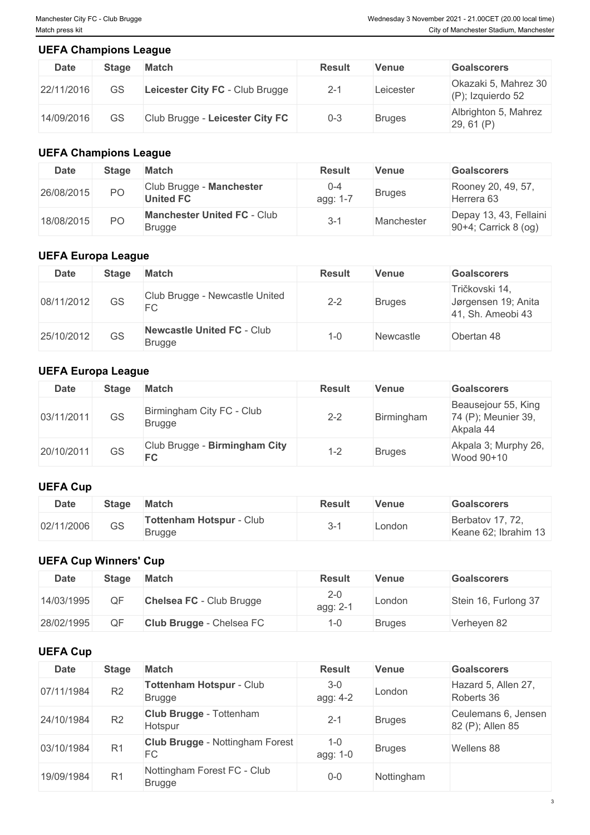#### **UEFA Champions League**

| <b>Date</b> | <b>Stage</b> | <b>Match</b>                    | <b>Result</b> | Venue     | <b>Goalscorers</b>                           |
|-------------|--------------|---------------------------------|---------------|-----------|----------------------------------------------|
| 22/11/2016  | GS           | Leicester City FC - Club Brugge | $2 - 1$       | Leicester | Okazaki 5, Mahrez 30<br>$(P)$ ; Izquierdo 52 |
| 14/09/2016  | GS           | Club Brugge - Leicester City FC | $0 - 3$       | Bruges    | Albrighton 5, Mahrez<br>29, 61 (P)           |

### **UEFA Champions League**

| <b>Date</b> | <b>Stage</b> | <b>Match</b>                                        | <b>Result</b>       | <b>Venue</b>  | <b>Goalscorers</b>                             |
|-------------|--------------|-----------------------------------------------------|---------------------|---------------|------------------------------------------------|
| 26/08/2015  | PO           | Club Brugge - Manchester<br><b>United FC</b>        | $0 - 4$<br>agg: 1-7 | <b>Bruges</b> | Rooney 20, 49, 57,<br>Herrera 63               |
| 18/08/2015  | <b>PO</b>    | <b>Manchester United FC - Club</b><br><b>Brugge</b> | $3 - 1$             | Manchester    | Depay 13, 43, Fellaini<br>90+4; Carrick 8 (og) |

#### **UEFA Europa League**

| <b>Date</b> | <b>Stage</b> | <b>Match</b>                                       | <b>Result</b> | Venue            | <b>Goalscorers</b>                                         |
|-------------|--------------|----------------------------------------------------|---------------|------------------|------------------------------------------------------------|
| 08/11/2012  | <b>GS</b>    | Club Brugge - Newcastle United<br>FC               | $2 - 2$       | <b>Bruges</b>    | Tričkovski 14,<br>Jørgensen 19; Anita<br>41, Sh. Ameobi 43 |
| 25/10/2012  | GS           | <b>Newcastle United FC - Club</b><br><b>Brugge</b> | 1-0           | <b>Newcastle</b> | Obertan 48                                                 |

#### **UEFA Europa League**

| <b>Date</b> | Stage | Match                                      | <b>Result</b> | Venue         | <b>Goalscorers</b>                                      |
|-------------|-------|--------------------------------------------|---------------|---------------|---------------------------------------------------------|
| 03/11/2011  | GS    | Birmingham City FC - Club<br><b>Brugge</b> | $2 - 2$       | Birmingham    | Beausejour 55, King<br>74 (P); Meunier 39,<br>Akpala 44 |
| 20/10/2011  | GS    | Club Brugge - Birmingham City<br><b>FC</b> | 1-2           | <b>Bruges</b> | Akpala 3; Murphy 26,<br>Wood 90+10                      |

# **UEFA Cup**

| <b>Date</b> | <b>Stage</b>        | <b>Match</b>                              | Result | Venue  | <b>Goalscorers</b>                       |
|-------------|---------------------|-------------------------------------------|--------|--------|------------------------------------------|
| 02/11/2006  | $\sim$ $\sim$<br>دى | Tottenham Hotspur - Club<br><b>Brugge</b> | `-     | _ondon | Berbatov 17, 72,<br>Keane 62; Ibrahim 13 |

### **UEFA Cup Winners' Cup**

| <b>Date</b> | <b>Stage</b> | <b>Match</b>             | <b>Result</b>       | Venue         | <b>Goalscorers</b>   |
|-------------|--------------|--------------------------|---------------------|---------------|----------------------|
| 14/03/1995  | ОF           | Chelsea FC - Club Brugge | $2 - 0$<br>agg: 2-1 | London        | Stein 16, Furlong 37 |
| 28/02/1995  | ΩE           | Club Brugge - Chelsea FC |                     | <b>Bruges</b> | Verheyen 82          |

#### **UEFA Cup**

| <b>Date</b> | <b>Stage</b>   | <b>Match</b>                                     | <b>Result</b>       | <b>Venue</b>  | <b>Goalscorers</b>                      |
|-------------|----------------|--------------------------------------------------|---------------------|---------------|-----------------------------------------|
| 07/11/1984  | R2             | <b>Tottenham Hotspur - Club</b><br><b>Brugge</b> | $3 - 0$<br>agg: 4-2 | London        | Hazard 5, Allen 27,<br>Roberts 36       |
| 24/10/1984  | R2             | <b>Club Brugge - Tottenham</b><br>Hotspur        | 2-1                 | <b>Bruges</b> | Ceulemans 6, Jensen<br>82 (P); Allen 85 |
| 03/10/1984  | R <sub>1</sub> | <b>Club Brugge - Nottingham Forest</b><br>FC.    | $1 - 0$<br>agg: 1-0 | <b>Bruges</b> | Wellens 88                              |
| 19/09/1984  | R <sub>1</sub> | Nottingham Forest FC - Club<br><b>Brugge</b>     | $0-0$               | Nottingham    |                                         |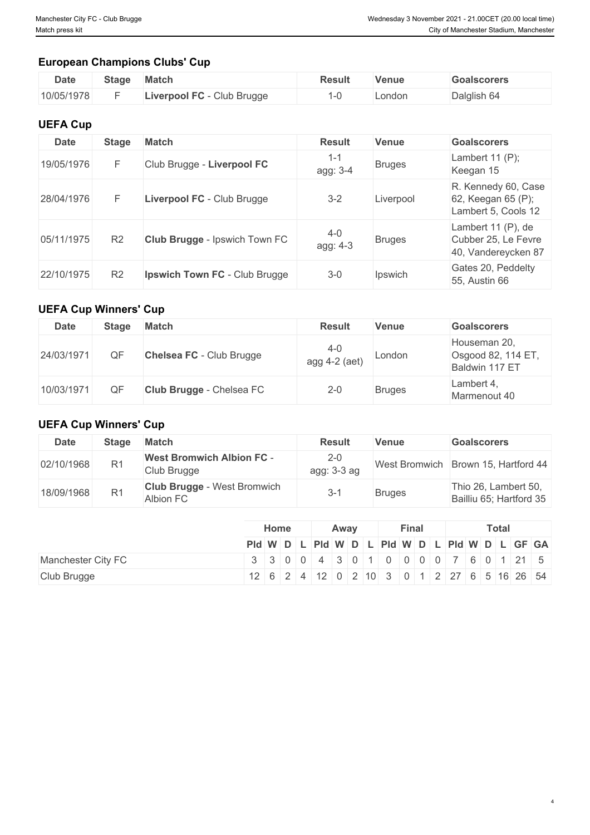4

# **European Champions Clubs' Cup**

| <b>Date</b> | <b>Stage</b> | <b>Match</b>               | Result | Venue  | <b>Goalscorers</b> |
|-------------|--------------|----------------------------|--------|--------|--------------------|
| 10/05/1978  |              | Liverpool FC - Club Brugge |        | _ondon | Dalglish 64        |

#### **UEFA Cup**

| <b>Date</b> | <b>Stage</b>   | <b>Match</b>                         | <b>Result</b>       | <b>Venue</b>  | <b>Goalscorers</b>                                               |
|-------------|----------------|--------------------------------------|---------------------|---------------|------------------------------------------------------------------|
| 19/05/1976  |                | Club Brugge - Liverpool FC           | $1 - 1$<br>agg: 3-4 | <b>Bruges</b> | Lambert $11(P)$ ;<br>Keegan 15                                   |
| 28/04/1976  |                | Liverpool FC - Club Brugge           | $3 - 2$             | Liverpool     | R. Kennedy 60, Case<br>62, Keegan 65 (P);<br>Lambert 5, Cools 12 |
| 05/11/1975  | R <sub>2</sub> | Club Brugge - Ipswich Town FC        | $4 - 0$<br>agg: 4-3 | <b>Bruges</b> | Lambert 11 (P), de<br>Cubber 25, Le Fevre<br>40, Vandereycken 87 |
| 22/10/1975  | R <sub>2</sub> | <b>Ipswich Town FC</b> - Club Brugge | $3 - 0$             | Ipswich       | Gates 20, Peddelty<br>55, Austin 66                              |

#### **UEFA Cup Winners' Cup**

| <b>Date</b> | <b>Stage</b> | <b>Match</b>             | <b>Result</b>              | <b>Venue</b>  | <b>Goalscorers</b>                                   |
|-------------|--------------|--------------------------|----------------------------|---------------|------------------------------------------------------|
| 24/03/1971  | ΟF           | Chelsea FC - Club Brugge | $4 - 0$<br>agg $4-2$ (aet) | London        | Houseman 20,<br>Osgood 82, 114 ET,<br>Baldwin 117 ET |
| 10/03/1971  | ОF           | Club Brugge - Chelsea FC | $2 - 0$                    | <b>Bruges</b> | Lambert 4.<br>Marmenout 40                           |

## **UEFA Cup Winners' Cup**

| Date       | <b>Stage</b>   | <b>Match</b>                                    | <b>Result</b>            | <b>Venue</b>         | <b>Goalscorers</b>                              |
|------------|----------------|-------------------------------------------------|--------------------------|----------------------|-------------------------------------------------|
| 02/10/1968 | R <sub>1</sub> | <b>West Bromwich Albion FC -</b><br>Club Brugge | $2 - 0$<br>$agg: 3-3 ag$ | <b>West Bromwich</b> | Brown 15, Hartford 44                           |
| 18/09/1968 | R1             | <b>Club Brugge - West Bromwich</b><br>Albion FC | $3 - 1$                  | <b>Bruges</b>        | Thio 26, Lambert 50,<br>Bailliu 65; Hartford 35 |

|                    | Home | Away | <b>Final</b> | <b>Total</b>                                  |
|--------------------|------|------|--------------|-----------------------------------------------|
|                    |      |      |              | PId W D L PId W D L PId W D L PId W D L GF GA |
| Manchester City FC |      |      |              | 3 3 0 0 4 3 0 1 0 0 0 0 7 6 0 1 21 5          |
| Club Brugge        |      |      |              | 12 6 2 4 12 0 2 10 3 0 1 2 27 6 5 16 26 54    |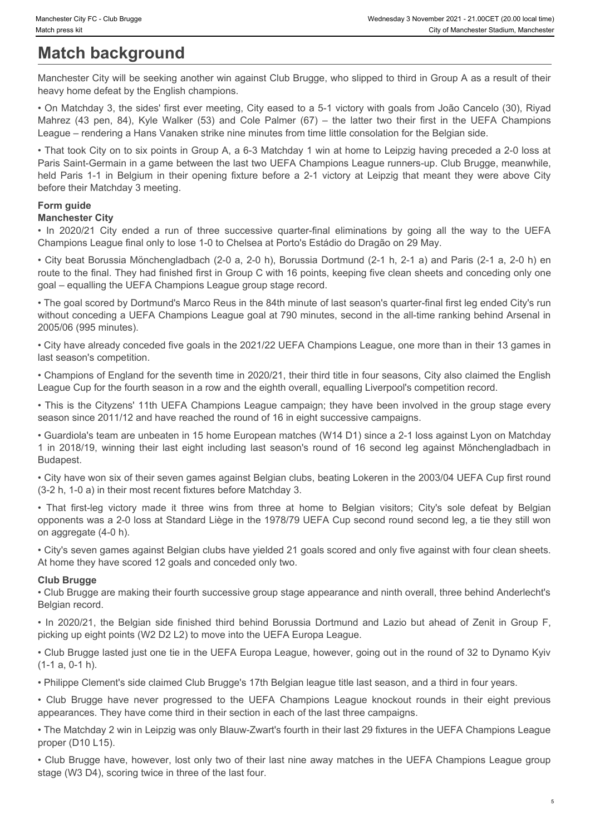# **Match background**

Manchester City will be seeking another win against Club Brugge, who slipped to third in Group A as a result of their heavy home defeat by the English champions.

• On Matchday 3, the sides' first ever meeting, City eased to a 5-1 victory with goals from João Cancelo (30), Riyad League – rendering a Hans Vanaken strike nine minutes from time little consolation for the Belgian side.

Manchester Chy FC - Club Brugge<br>
Match press kit<br>
Marchesster Stadium, Manchester<br>
Marchesster Stadium, Manchester<br>
Manchester City will be seeking another win against Club Brugge, who slipped to third in Group A as a resu • That took City on to six points in Group A, a 6-3 Matchday 1 win at home to Leipzig having preceded a 2-0 loss at Paris Saint-Germain in a game between the last two UEFA Champions League runners-up. Club Brugge, meanwhile, Menchester City FC - Club Brugge<br>
Manchester City will be seeking another win against Club Brugge, who slipped to third in Group A as a result of their<br>
Manchester City will be seeking another win against Club Brugge, who before their Matchday 3 meeting. Also<br> **Machelse City of Lits Condensation**<br> **Machelse City will be seeking another win against Club Brugge, who slipped to third in Group A as a result of their<br>
Manchelser City will be seeking another win against Club Br** www.canye custos.com<br>
221 in 2018/19, and the training more win against Club Brugge, who slipped to third in Croup A as a result of their<br>
Manchester City will be seeking another win against Club Brugge, who slipped to th • Chy-disorvantial of the control of the search and the system of the system of the system of the system of the system of the system of the system of the system of the system of the system of the system of the system of th • That leak Cry cm to bit coints in Group A, a 0.3 Maintaby is win through lands that the Distribution group of the UEFA Characteristics a 2.0 leas at the Belgian side of the Belgian side of the Belgian side of the Belgia

#### **Form guide**

#### **Manchester City**

Champions League final only to lose 1-0 to Chelsea at Porto's Estádio do Dragão on 29 May.

• City beat Borussia Mönchengladbach (2-0 a, 2-0 h), Borussia Dortmund (2-1 h, 2-1 a) and Paris (2-1 a, 2-0 h) en route to the final. They had finished first in Group C with 16 points, keeping five clean sheets and conceding only one goal – equalling the UEFA Champions League group stage record.

• The goal scored by Dortmund's Marco Reus in the 84th minute of last season's quarter-final first leg ended City's run without conceding a UEFA Champions League goal at 790 minutes, second in the all-time ranking behind Arsenal in 2005/06 (995 minutes). Mannetest City and the two times accessive quarter final eliminations by going all the way to the UEFA Champions League Havanov C Brugge have never be never progressed to the UEFA Champions League in the National Control o

• City have already conceded five goals in the 2021/22 UEFA Champions League, one more than in their 13 games in last season's competition.

• Champions of England for the seventh time in 2020/21, their third title in four seasons, City also claimed the English League Cup for the fourth season in a row and the eighth overall, equalling Liverpool's competition record.

• This is the Cityzens' 11th UEFA Champions League campaign; they have been involved in the group stage every season since 2011/12 and have reached the round of 16 in eight successive campaigns.

• Guardiola's team are unbeaten in 15 home European matches (W14 D1) since a 2-1 loss against Lyon on Matchday Budapest.

• City have won six of their seven games against Belgian clubs, beating Lokeren in the 2003/04 UEFA Cup first round (3-2 h, 1-0 a) in their most recent fixtures before Matchday 3.

opponents was a 2-0 loss at Standard Liège in the 1978/79 UEFA Cup second round second leg, a tie they still won on aggregate (4-0 h).

• City's seven games against Belgian clubs have yielded 21 goals scored and only five against with four clean sheets. At home they have scored 12 goals and conceded only two.

#### **Club Brugge**

• Club Brugge are making their fourth successive group stage appearance and ninth overall, three behind Anderlecht's Belgian record.

picking up eight points (W2 D2 L2) to move into the UEFA Europa League.

• Club Brugge lasted just one tie in the UEFA Europa League, however, going out in the round of 32 to Dynamo Kyiv (1-1 a, 0-1 h).

• Philippe Clement's side claimed Club Brugge's 17th Belgian league title last season, and a third in four years.

appearances. They have come third in their section in each of the last three campaigns.

• The Matchday 2 win in Leipzig was only Blauw-Zwart's fourth in their last 29 fixtures in the UEFA Champions League proper (D10 L15).

• Club Brugge have, however, lost only two of their last nine away matches in the UEFA Champions League group stage (W3 D4), scoring twice in three of the last four.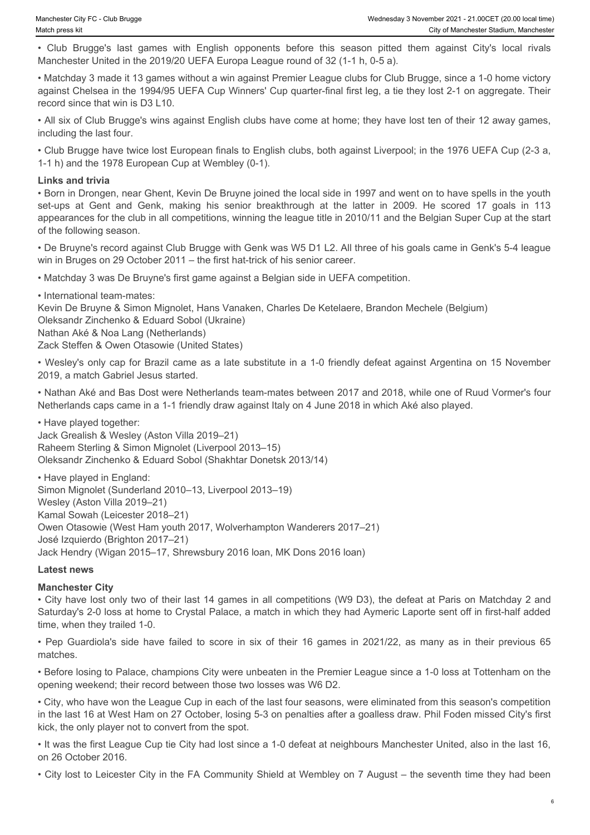Manchester United in the 2019/20 UEFA Europa League round of 32 (1-1 h, 0-5 a).

Werhesday 3 November 2021 - 21.00CET (20.00 local time)<br>
Werhesday 3 November 2021 - 21.00CET (20.00 local time)<br>
• City of Manchester Stadium, Manchester<br>
• City of Manchester United in the 2019/20 UEFA Europa League roun • Matchday 3 made it 13 games without a win against Premier League clubs for Club Brugge, since a 1-0 home victory against Chelsea in the 1994/95 UEFA Cup Winners' Cup quarter-final first leg, a tie they lost 2-1 on aggregate. Their record since that win is D3 L10.

• All six of Club Brugge's wins against English clubs have come at home; they have lost ten of their 12 away games, including the last four.

• Club Brugge have twice lost European finals to English clubs, both against Liverpool; in the 1976 UEFA Cup (2-3 a, 1-1 h) and the 1978 European Cup at Wembley (0-1).

#### **Links and trivia**

• Born in Drongen, near Ghent, Kevin De Bruyne joined the local side in 1997 and went on to have spells in the youth Set-ups at The Character City FC. Club Brugge's last games with English opponents before this season pitted them against City's local rives (Cub Brugge's last games with English opponents before this season pitted them aga appearances for the club in all competitions, winning the league title in 2010/11 and the Belgian Super Cup at the start of the following season.

• De Bruyne's record against Club Brugge with Genk was W5 D1 L2. All three of his goals came in Genk's 5-4 league win in Bruges on 29 October 2011 – the first hat-trick of his senior career.

• Matchday 3 was De Bruyne's first game against a Belgian side in UEFA competition.

• International team-mates: Kevin De Bruyne & Simon Mignolet, Hans Vanaken, Charles De Ketelaere, Brandon Mechele (Belgium) Oleksandr Zinchenko & Eduard Sobol (Ukraine) Nathan Aké & Noa Lang (Netherlands) Zack Steffen & Owen Otasowie (United States)

• Wesley's only cap for Brazil came as a late substitute in a 1-0 friendly defeat against Argentina on 15 November 2019, a match Gabriel Jesus started.

• Nathan Aké and Bas Dost were Netherlands team-mates between 2017 and 2018, while one of Ruud Vormer's four Netherlands caps came in a 1-1 friendly draw against Italy on 4 June 2018 in which Aké also played.

• Have played together: Jack Grealish & Wesley (Aston Villa 2019–21) Raheem Sterling & Simon Mignolet (Liverpool 2013–15) Oleksandr Zinchenko & Eduard Sobol (Shakhtar Donetsk 2013/14)

• Have played in England: Simon Mignolet (Sunderland 2010–13, Liverpool 2013–19) Wesley (Aston Villa 2019–21) Kamal Sowah (Leicester 2018–21) Owen Otasowie (West Ham youth 2017, Wolverhampton Wanderers 2017–21) José Izquierdo (Brighton 2017–21) Jack Hendry (Wigan 2015–17, Shrewsbury 2016 loan, MK Dons 2016 loan) • 1+ have not to score the method in the total Failed to score in the first of the score in Book and the score in the feature in the feature in the feature in six of the score in the feature in six of the score in the fea

#### **Latest news**

#### **Manchester City**

• City have lost only two of their last 14 games in all competitions (W9 D3), the defeat at Paris on Matchday 2 and Saturday's 2-0 loss at home to Crystal Palace, a match in which they had Aymeric Laporte sent off in first-half added time, when they trailed 1-0.

matches.

• Before losing to Palace, champions City were unbeaten in the Premier League since a 1-0 loss at Tottenham on the opening weekend; their record between those two losses was W6 D2.

• City, who have won the League Cup in each of the last four seasons, were eliminated from this season's competition in the last 16 at West Ham on 27 October, losing 5-3 on penalties after a goalless draw. Phil Foden missed City's first kick, the only player not to convert from the spot.

• It was the first League Cup tie City had lost since a 1-0 defeat at neighbours Manchester United, also in the last 16, on 26 October 2016.

• City lost to Leicester City in the FA Community Shield at Wembley on 7 August – the seventh time they had been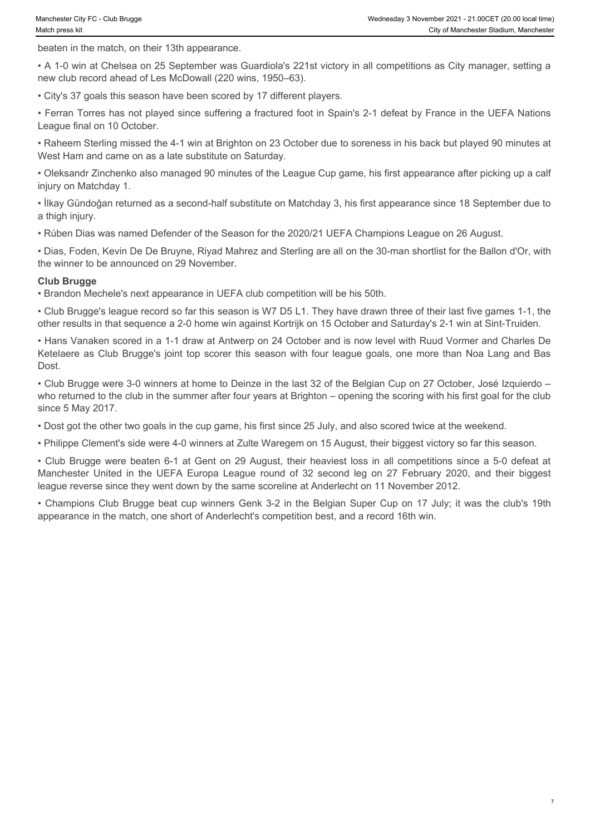7

beaten in the match, on their 13th appearance.

• A 1-0 win at Chelsea on 25 September was Guardiola's 221st victory in all competitions as City manager, setting a new club record ahead of Les McDowall (220 wins, 1950–63).

• City's 37 goals this season have been scored by 17 different players.

• Ferran Torres has not played since suffering a fractured foot in Spain's 2-1 defeat by France in the UEFA Nations League final on 10 October.

• Raheem Sterling missed the 4-1 win at Brighton on 23 October due to soreness in his back but played 90 minutes at West Ham and came on as a late substitute on Saturday.

• Oleksandr Zinchenko also managed 90 minutes of the League Cup game, his first appearance after picking up a calf injury on Matchday 1.

• İlkay Gündoğan returned as a second-half substitute on Matchday 3, his first appearance since 18 September due to a thigh injury.

• Rúben Dias was named Defender of the Season for the 2020/21 UEFA Champions League on 26 August.

• Dias, Foden, Kevin De De Bruyne, Riyad Mahrez and Sterling are all on the 30-man shortlist for the Ballon d'Or, with the winner to be announced on 29 November.

#### **Club Brugge**

• Brandon Mechele's next appearance in UEFA club competition will be his 50th.

• Club Brugge's league record so far this season is W7 D5 L1. They have drawn three of their last five games 1-1, the other results in that sequence a 2-0 home win against Kortrijk on 15 October and Saturday's 2-1 win at Sint-Truiden.

• Hans Vanaken scored in a 1-1 draw at Antwerp on 24 October and is now level with Ruud Vormer and Charles De Ketelaere as Club Brugge's joint top scorer this season with four league goals, one more than Noa Lang and Bas Dost. Manchest Dyt1: Die hege<br>Manchester United cases on 23 Septentee vas Cuardiosis 221 st victory in all competitions as City manager, setting a<br>check in the nearchests on 23 Septentes vas Cuardiosis 221 st victory in all comp

• Club Brugge were 3-0 winners at home to Deinze in the last 32 of the Belgian Cup on 27 October, José Izquierdo – who returned to the club in the summer after four years at Brighton – opening the scoring with his first goal for the club since 5 May 2017.

• Dost got the other two goals in the cup game, his first since 25 July, and also scored twice at the weekend.

• Philippe Clement's side were 4-0 winners at Zulte Waregem on 15 August, their biggest victory so far this season.

• Club Brugge were beaten 6-1 at Gent on 29 August, their heaviest loss in all competitions since a 5-0 defeat at league reverse since they went down by the same scoreline at Anderlecht on 11 November 2012.

• Champions Club Brugge beat cup winners Genk 3-2 in the Belgian Super Cup on 17 July; it was the club's 19th appearance in the match, one short of Anderlecht's competition best, and a record 16th win.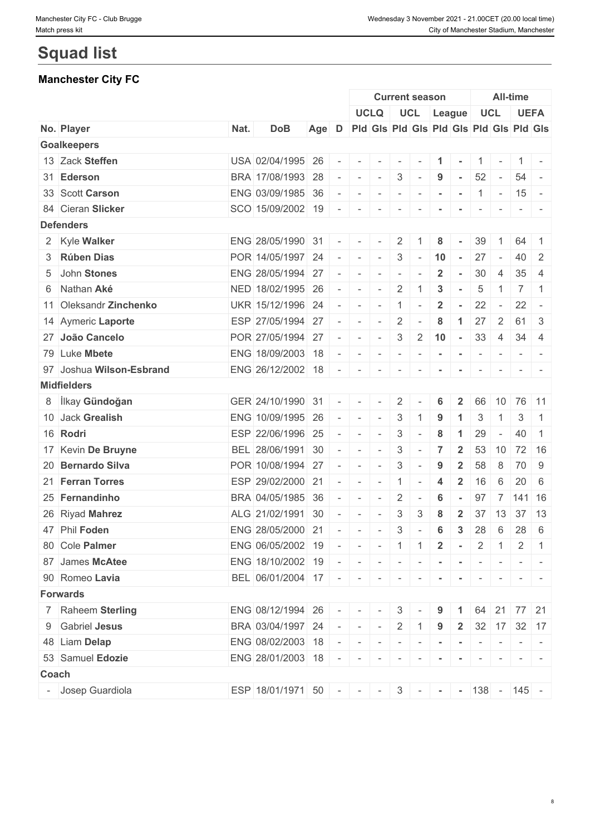# **Squad list**

# **Manchester City FC**

|       |                          |      |                                                     |       |                          |                                                                                                             |                                 |                 | <b>Current season</b>    |                  |                         |                          |                          | <b>All-time</b> |                                                                  |
|-------|--------------------------|------|-----------------------------------------------------|-------|--------------------------|-------------------------------------------------------------------------------------------------------------|---------------------------------|-----------------|--------------------------|------------------|-------------------------|--------------------------|--------------------------|-----------------|------------------------------------------------------------------|
|       |                          |      |                                                     |       |                          |                                                                                                             | <b>UCLQ</b>                     |                 | UCL League               |                  |                         |                          | <b>UCL</b>               |                 | <b>UEFA</b>                                                      |
|       | No. Player               | Nat. | <b>DoB</b>                                          | Age D |                          |                                                                                                             |                                 |                 |                          |                  |                         |                          |                          |                 | Pid Gis Pid Gis Pid Gis Pid Gis Pid Gis                          |
|       | <b>Goalkeepers</b>       |      |                                                     |       |                          |                                                                                                             |                                 |                 |                          |                  |                         |                          |                          |                 |                                                                  |
|       | 13 Zack Steffen          |      | USA 02/04/1995 26                                   |       |                          |                                                                                                             |                                 |                 |                          |                  |                         |                          |                          |                 | $1 -$                                                            |
|       | 31 Ederson               |      | BRA 17/08/1993 28                                   |       |                          | $\sim$                                                                                                      | $\sim$                          | $3\phantom{.0}$ | $\sim$                   | 9                | $\sim$                  | 52                       | $\sim$                   |                 | $54 -$                                                           |
|       | 33 Scott Carson          |      | ENG 03/09/1985 36                                   |       |                          | $\sim$                                                                                                      | $\sim$                          | $\sim$          | $\sim$                   | $\blacksquare$   | $\sim$                  | $\mathbf{1}$             | $\sim$                   |                 | $15 -$                                                           |
|       | 84 Cieran Slicker        |      | SCO 15/09/2002 19                                   |       | $\overline{\phantom{a}}$ | $\sim$                                                                                                      | $\sim$                          | $\sim$          | $\sim$                   | $\sim$           | $\sim$                  | $\sim$                   | $\sim$                   |                 | $\mathcal{L} = \{ \mathcal{L} \mid \mathcal{L} = \mathcal{L} \}$ |
|       | <b>Defenders</b>         |      |                                                     |       |                          |                                                                                                             |                                 |                 |                          |                  |                         |                          |                          |                 |                                                                  |
|       | 2 Kyle Walker            |      | ENG 28/05/1990 31                                   |       |                          |                                                                                                             |                                 | 2               |                          | 8                |                         | 39                       |                          | 64              |                                                                  |
|       | 3 Rúben Dias             |      | POR 14/05/1997 24                                   |       | $\overline{\phantom{a}}$ | $\sim$                                                                                                      | $\sim$                          | 3               | $\sim$                   | 10               | $\sim$                  | 27                       | $\sim$                   | 40              | $\overline{2}$                                                   |
|       | 5 John Stones            |      | ENG 28/05/1994 27                                   |       |                          | $\overline{\phantom{a}}$                                                                                    | $\sim$                          | $\sim$          | $\overline{\phantom{a}}$ | $\overline{2}$   | $\sim$                  | 30                       | $\overline{4}$           | 35              | -4                                                               |
|       | 6 Nathan Aké             |      | NED 18/02/1995 26                                   |       |                          | $\sim$                                                                                                      | $\sim$                          | $\overline{2}$  | -1                       | 3                |                         | 5                        |                          | $\overline{7}$  | $\overline{1}$                                                   |
|       | 11 Oleksandr Zinchenko   |      | UKR 15/12/1996 24                                   |       |                          | $\sim$                                                                                                      | $\sim$                          | $\mathbf{1}$    | $\overline{\phantom{a}}$ | $\overline{2}$   | $\blacksquare$          | 22                       | $\sim$                   | 22              | $\overline{\phantom{a}}$                                         |
|       | 14 Aymeric Laporte       |      | ESP 27/05/1994 27                                   |       |                          | $\sim$                                                                                                      | $\sim$                          | $\overline{2}$  |                          | 8                | $\mathbf{1}$            | 27                       | $\overline{2}$           | 61              | -3                                                               |
|       | 27 João Cancelo          |      | POR 27/05/1994 27                                   |       |                          | $\sim$                                                                                                      | $\sim$                          | 3               | $2^{\circ}$              | 10               | $\sim$                  | 33                       | $\overline{4}$           |                 | $34 \mid 4$                                                      |
|       | 79 Luke Mbete            |      | ENG 18/09/2003 18                                   |       |                          | $\overline{\phantom{a}}$                                                                                    | $\overline{\phantom{a}}$        | $\sim$          | $\sim$                   | $\blacksquare$   | $\sim$                  | $\overline{\phantom{a}}$ | $\overline{\phantom{a}}$ |                 | $-1$                                                             |
|       | 97 Joshua Wilson-Esbrand |      | ENG 26/12/2002 18                                   |       | $\sim$                   | $\sim$                                                                                                      | $\overline{\phantom{a}}$        | $\sim$          |                          | $\,$ $\,$        | $\sim$                  | $\sim$                   |                          |                 |                                                                  |
|       | <b>Midfielders</b>       |      |                                                     |       |                          |                                                                                                             |                                 |                 |                          |                  |                         |                          |                          |                 |                                                                  |
|       | 8 İlkay Gündoğan         |      | GER 24/10/1990 31                                   |       |                          |                                                                                                             |                                 | 2               |                          | 6                |                         | 66                       | 10                       |                 | 76 11                                                            |
|       | 10 Jack Grealish         |      | ENG 10/09/1995 26                                   |       |                          | $\sim$                                                                                                      | $\sim$                          | 3               |                          | 9                | $\blacktriangleleft$    | 3                        | -1                       | 3               | $\overline{1}$                                                   |
|       | 16 Rodri                 |      | ESP 22/06/1996 25                                   |       |                          | $\sim$                                                                                                      | $\sim$                          | 3               |                          | 8                | -1                      | 29                       | $\sim$                   | 40              | $\overline{1}$                                                   |
|       | 17 Kevin De Bruyne       |      | BEL 28/06/1991 30                                   |       |                          | $\sim$                                                                                                      | $\sim$                          | 3               | $\overline{\phantom{a}}$ | $\overline{7}$   | $\overline{2}$          | 53                       | 10                       |                 | 72 16                                                            |
|       | 20 Bernardo Silva        |      | POR 10/08/1994 27                                   |       | $\overline{\phantom{a}}$ | $\overline{\phantom{a}}$                                                                                    | $\sim$                          | 3               |                          | 9                | $\overline{2}$          | 58                       | 8                        | 70              | 9                                                                |
|       | 21 Ferran Torres         |      | ESP 29/02/2000 21                                   |       |                          | $\sim$                                                                                                      | $\sim$                          | $\mathbf{1}$    |                          | $\boldsymbol{4}$ | $\overline{\mathbf{2}}$ | 16                       | 6                        |                 | $20 \quad 6$                                                     |
|       | 25 Fernandinho           |      | BRA 04/05/1985 36                                   |       |                          | $\sim$                                                                                                      | $\sim$                          | 2               | $\overline{\phantom{a}}$ | 6                |                         | 97                       | 7                        |                 | $ 141 $ 16                                                       |
|       | 26 Riyad Mahrez          |      | ALG 21/02/1991 30                                   |       |                          | $\sim$                                                                                                      |                                 | 3               | 3                        | 8                | $\overline{2}$          | 37                       | 13                       | 37              | 13                                                               |
|       | 47 Phil Foden            |      | ENG 28/05/2000 21                                   |       |                          | $\sim$                                                                                                      | $\sim$                          | 3               | $\sim$                   | 6                | $\mathbf{3}$            | 28                       | 6                        |                 | $28 \mid 6$                                                      |
|       | 80 Cole Palmer           |      | ENG 06/05/2002 19                                   |       |                          |                                                                                                             | $   1$ $1$ $2$ $ 2$ $1$ $2$ $1$ |                 |                          |                  |                         |                          |                          |                 |                                                                  |
|       | 87 James McAtee          |      | ENG 18/10/2002 19                                   |       |                          |                                                                                                             |                                 | $\mathbf{r}$    | $\sim$                   | $\sim$           | $\sim$                  | $\sim$                   | $\mathbf{r}$             |                 |                                                                  |
|       | 90 Romeo Lavia           |      | BEL 06/01/2004 17 - - - - - - - - - - - - - -       |       |                          |                                                                                                             |                                 |                 |                          |                  |                         |                          |                          |                 |                                                                  |
|       | <b>Forwards</b>          |      |                                                     |       |                          |                                                                                                             |                                 |                 |                          |                  |                         |                          |                          |                 |                                                                  |
|       |                          |      |                                                     |       |                          |                                                                                                             |                                 |                 |                          |                  |                         |                          |                          |                 |                                                                  |
|       | 7 Raheem Sterling        |      | ENG 08/12/1994 26                                   |       |                          | $\sim$                                                                                                      | $\sim$                          | $3 \mid$        |                          | 9                |                         | 64                       |                          |                 | $21$ 77 21                                                       |
|       | 9 Gabriel Jesus          |      | BRA 03/04/1997 24                                   |       |                          | $\begin{array}{cccccccccc} \bullet & \bullet & \bullet & \bullet & \bullet & \bullet & \bullet \end{array}$ |                                 |                 | $2 \mid 1 \mid$          | 9                | $\overline{\mathbf{2}}$ |                          |                          |                 | 32 17 32 17                                                      |
|       | 48 Liam Delap            |      | ENG 08/02/2003 18                                   |       |                          |                                                                                                             |                                 |                 |                          |                  |                         |                          |                          |                 |                                                                  |
|       | 53 Samuel Edozie         |      | ENG 28/01/2003 18                                   |       | $\sim$                   | $\sim$                                                                                                      | $\sim$                          | $\sim$          | $\sim$                   | $\sim$           | $\sim$                  |                          | $ -$                     |                 | $\mathcal{L} = \{ \mathcal{L} \mid \mathcal{L} = \mathcal{L} \}$ |
| Coach |                          |      |                                                     |       |                          |                                                                                                             |                                 |                 |                          |                  |                         |                          |                          |                 |                                                                  |
|       | - Josep Guardiola        |      | ESP 18/01/1971 50 - - - - 3 - - - 138 - 138 - 145 - |       |                          |                                                                                                             |                                 |                 |                          |                  |                         |                          |                          |                 |                                                                  |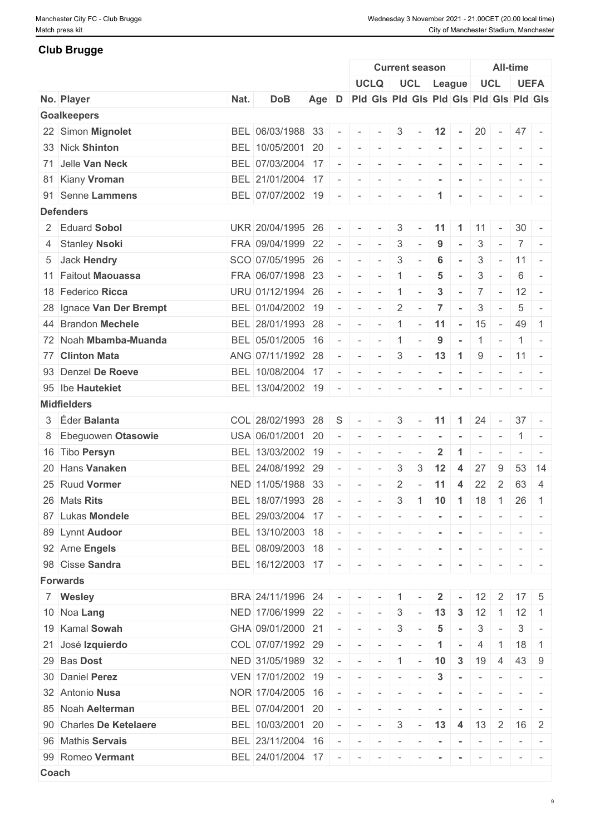### **Club Brugge**

|       |                          |      |                       |       |                          |                           |                                 |                          | <b>Current season</b>                   |                 |                      |                          |                          | <b>All-time</b>  |                                                                                   |
|-------|--------------------------|------|-----------------------|-------|--------------------------|---------------------------|---------------------------------|--------------------------|-----------------------------------------|-----------------|----------------------|--------------------------|--------------------------|------------------|-----------------------------------------------------------------------------------|
|       |                          |      |                       |       |                          |                           | <b>UCLQ</b>                     |                          | UCL League                              |                 |                      | <b>UCL</b>               |                          |                  | <b>UEFA</b>                                                                       |
|       | No. Player               | Nat. | <b>DoB</b>            | Age D |                          |                           |                                 |                          | Pid Gis Pid Gis Pid Gis Pid Gis Pid Gis |                 |                      |                          |                          |                  |                                                                                   |
|       | <b>Goalkeepers</b>       |      |                       |       |                          |                           |                                 |                          |                                         |                 |                      |                          |                          |                  |                                                                                   |
|       | 22 Simon Mignolet        |      | BEL 06/03/1988 33     |       | $\sim$                   | $\sim$                    | $\sim$                          | $3 \mid$                 | $\sim$                                  | $12 -$          |                      | 20                       | $\sim 10^{-10}$          | $47 -$           |                                                                                   |
|       | 33 Nick Shinton          |      | BEL 10/05/2001 20     |       |                          | $\sim$                    | $\sim$                          | $\sim$ $\sim$ $\sim$     |                                         |                 |                      |                          |                          |                  | $\sim$ 100 $\sim$ 100 $\sim$                                                      |
|       | 71 Jelle Van Neck        |      | BEL 07/03/2004 17     |       |                          | $\sim$                    | $\sim$                          | $\sim$                   | $\sim$                                  |                 |                      | $\overline{\phantom{a}}$ |                          |                  |                                                                                   |
|       | 81 Kiany Vroman          |      | BEL 21/01/2004 17     |       |                          | $\overline{\phantom{a}}$  | $\overline{\phantom{a}}$        | $\overline{\phantom{a}}$ |                                         |                 |                      |                          |                          |                  |                                                                                   |
|       | 91 Senne Lammens         |      | BEL 07/07/2002 19     |       | $\sim$                   | $\sim$                    | $\sim$                          | $\sim$                   | $\overline{\phantom{a}}$                |                 | $\sim$               | $\sim$                   | $\sim$                   |                  | $\frac{1}{2} \left( \frac{1}{2} \right) \left( \frac{1}{2} \right) = \frac{1}{2}$ |
|       | <b>Defenders</b>         |      |                       |       |                          |                           |                                 |                          |                                         |                 |                      |                          |                          |                  |                                                                                   |
|       | 2 Eduard Sobol           |      | UKR 20/04/1995 26     |       |                          | $\sim$                    |                                 | 3                        | $\sim$                                  | 11              | $\overline{1}$       | -11                      | $\sim$                   | $30 -$           |                                                                                   |
|       | 4 Stanley Nsoki          |      | FRA 09/04/1999 22     |       |                          | $\sim$                    | $\sim$                          | 3                        | $\sim$                                  | 9               | $\sim$               | 3                        | $\sim$                   |                  | $7 -$                                                                             |
|       | 5 Jack Hendry            |      | SCO 07/05/1995 26     |       |                          | $\sim$                    | $\overline{\phantom{a}}$        | 3                        |                                         | 6               |                      | 3                        | $\overline{\phantom{a}}$ | $11 -$           |                                                                                   |
|       | 11 Faitout Maouassa      |      | FRA 06/07/1998 23     |       | $\overline{\phantom{a}}$ | $\sim$                    | $\sim$                          | $\overline{1}$           | $\overline{\phantom{a}}$                | 5               |                      | 3                        | $\sim$                   | 6                | $\sim$                                                                            |
|       | 18 Federico Ricca        |      | URU 01/12/1994 26     |       |                          | $\overline{\phantom{a}}$  | $\sim$                          | $\mathbf{1}$             | $\overline{\phantom{a}}$                | 3               | $\sim$               | 7 <sup>1</sup>           | $\sim$                   | 12               | $\sim$                                                                            |
|       | 28 Ignace Van Der Brempt |      | BEL 01/04/2002 19     |       |                          | $\sim$                    | $\overline{\phantom{a}}$        | $\overline{2}$           |                                         | $\overline{7}$  |                      | 3                        | $\overline{\phantom{a}}$ | 5                | $\overline{\phantom{a}}$                                                          |
|       | 44 Brandon Mechele       |      | BEL 28/01/1993 28     |       |                          | $\sim$                    | $\sim$                          | $\vert 1 \vert$          | $-11$                                   |                 | $-15$                |                          | $\sim$ $-$               | 49 1             |                                                                                   |
|       | 72 Noah Mbamba-Muanda    |      | BEL 05/01/2005 16     |       | $\sim$                   | $\overline{\phantom{a}}$  | $\sim$                          | $\overline{1}$           |                                         | 9               | $\sim$               | 1                        | $\sim$                   | 1                |                                                                                   |
|       | 77 Clinton Mata          |      | ANG 07/11/1992 28     |       |                          | $\sim$                    | $\sim$                          | $\mathbf{3}$             | $-13$ 1                                 |                 |                      |                          |                          | $9 - 11 -$       |                                                                                   |
|       | 93 Denzel De Roeve       |      | BEL 10/08/2004 17     |       |                          | $\overline{\phantom{a}}$  | $\sim$                          | $\sim$                   | $\sim$                                  | $\blacksquare$  | $\sim$               | $\sim$                   | $\sim$                   |                  |                                                                                   |
|       | 95 lbe Hautekiet         |      |                       |       |                          |                           |                                 |                          |                                         |                 |                      |                          |                          |                  |                                                                                   |
|       |                          |      | BEL 13/04/2002 19     |       | $\sim$                   | $\sim$                    | $\sim$                          | $\overline{\phantom{a}}$ |                                         |                 |                      | $\overline{\phantom{a}}$ |                          | $ -$             |                                                                                   |
|       | <b>Midfielders</b>       |      |                       |       |                          |                           |                                 |                          |                                         |                 |                      |                          |                          |                  |                                                                                   |
|       | 3 Eder Balanta           |      | COL 28/02/1993 28     |       | S                        | $\sim$                    | $\sim$                          | 3 <sup>1</sup>           | $\sim$                                  | $11 \quad 1$    |                      | 24                       | $\sim$                   | $37 -$           |                                                                                   |
|       | 8 Ebeguowen Otasowie     |      | USA 06/01/2001 20     |       |                          | $\sim$                    | $\sim$                          | $\sim$                   |                                         |                 |                      | $\overline{\phantom{a}}$ | $\overline{\phantom{a}}$ |                  | $1 -$                                                                             |
|       | 16 Tibo Persyn           |      | BEL 13/03/2002 19     |       |                          | $\overline{\phantom{a}}$  | $\sim$                          | $\overline{\phantom{a}}$ |                                         | $\overline{2}$  | $\blacktriangleleft$ | $\overline{\phantom{a}}$ | $\overline{\phantom{a}}$ |                  | $-1$                                                                              |
|       | 20 Hans Vanaken          |      | BEL 24/08/1992 29     |       |                          | $\overline{\phantom{a}}$  | $\sim$                          | 3                        | 3                                       | 12              | $\overline{4}$       | 27                       | 9                        |                  | 53 14                                                                             |
|       | 25 Ruud Vormer           |      | NED 11/05/1988 33     |       |                          | $\sim$                    | $\overline{\phantom{a}}$        | 2                        |                                         | 11              | 4                    | 22                       | 2                        | 63 4             |                                                                                   |
|       | 26 Mats Rits             |      | BEL 18/07/1993 28     |       |                          | $\equiv$                  | $\sim$                          | 3                        | $1$ 10 1                                |                 |                      | 18                       | $\overline{1}$           | 26               | $\overline{1}$                                                                    |
|       | 87 Lukas Mondele         |      | BEL 29/03/2004 17     |       | $\sim$                   |                           |                                 |                          | .                                       |                 |                      |                          |                          |                  | $-1$                                                                              |
|       | 89 Lynnt Audoor          |      | BEL 13/10/2003 18     |       |                          | $\sim$                    | $\sim$                          | $\sim$                   | $\sim$                                  | $\blacksquare$  | $\sim$               | $\sim$                   | $\sim$                   | $\sim$ 100 $\pm$ |                                                                                   |
|       | 92 Arne Engels           |      | BEL 08/09/2003 18     |       | $\sim$                   | $\sim$ $-$                | $\sim$                          | $\sim$                   |                                         |                 | $\sim$               |                          |                          |                  |                                                                                   |
|       | 98 Cisse Sandra          |      | BEL 16/12/2003 17 - - |       |                          |                           | $\sim$                          | $\sim$                   | $\sim$                                  | $\sim$          | $\sim$               | $\overline{\phantom{a}}$ | $\sim$                   |                  | $\mathcal{L} = \{ \mathcal{L} \mid \mathcal{L} = \mathcal{L} \}$                  |
|       | <b>Forwards</b>          |      |                       |       |                          |                           |                                 |                          |                                         |                 |                      |                          |                          |                  |                                                                                   |
|       | 7 Wesley                 |      | BRA 24/11/1996 24     |       |                          |                           | $\sim$                          | $\overline{1}$           |                                         | $\overline{2}$  |                      | 12                       | $\overline{2}$           | $17 \mid 5$      |                                                                                   |
|       | 10 Noa Lang              |      | NED 17/06/1999 22     |       | $\sim$                   | $\sim$                    | $\sim$                          | $\mathbf{3}$             | $\sim$                                  | 13              | $\mathbf{3}$         | 12                       | -1                       | 12               |                                                                                   |
|       | 19 Kamal Sowah           |      | GHA 09/01/2000 21     |       | $\overline{\phantom{a}}$ | $\sim$                    | $\sim$                          | $\mathbf{3}$             | $\sim$                                  | $5\phantom{.0}$ | $\sim$               | $\mathbf{3}$             | $\sim$                   | 3                | $\sim$                                                                            |
|       | 21 José Izquierdo        |      | COL 07/07/1992 29     |       |                          | $\sim$                    | $\sim$                          | $\sim$                   |                                         |                 |                      | 4                        | $\overline{1}$           | $18$ 1           |                                                                                   |
|       | 29 Bas Dost              |      | NED 31/05/1989 32     |       | $\overline{\phantom{a}}$ | $\sim$                    | $\sim$                          | $-1$                     | $\sim$                                  | 10              | $\mathbf{3}$         | 19                       | 4                        | 43 9             |                                                                                   |
|       | 30 Daniel Perez          |      | VEN 17/01/2002 19     |       |                          |                           | $\mathcal{A}=\{1,2,3,4,5,6,6\}$ |                          | $\sim$                                  | $\mathbf{3}$    |                      |                          |                          |                  |                                                                                   |
|       | 32 Antonio Nusa          |      | NOR 17/04/2005 16     |       |                          | $\sim$                    | $\sim$                          | $\sim$                   |                                         |                 |                      | $\overline{\phantom{a}}$ |                          |                  |                                                                                   |
|       |                          |      |                       |       |                          |                           |                                 |                          |                                         |                 |                      |                          |                          |                  |                                                                                   |
|       | 85 Noah Aelterman        |      | BEL 07/04/2001 20     |       |                          | $\sim$                    |                                 | $\overline{\phantom{a}}$ |                                         |                 |                      |                          |                          |                  |                                                                                   |
|       | 90 Charles De Ketelaere  |      | BEL 10/03/2001 20     |       | $\sim$                   | $\mathbf{r} = \mathbf{r}$ | $\sim$                          | $\mathbf{3}$             | $-$ 13 4 13                             |                 |                      |                          | $\overline{2}$           | $16 \mid 2$      |                                                                                   |
|       | 96 Mathis Servais        |      | BEL 23/11/2004 16     |       |                          | $\sim$                    | $\sim$                          | $\sim$                   | $\sim$                                  |                 | $\sim$               | $\sim$                   |                          |                  |                                                                                   |
|       | 99 Romeo Vermant         |      | BEL 24/01/2004 17     |       | $\overline{\phantom{a}}$ | $\sim$                    |                                 | $\overline{\phantom{a}}$ |                                         |                 |                      |                          |                          |                  | $\frac{1}{2} \left( \frac{1}{2} \right) \left( \frac{1}{2} \right) = \frac{1}{2}$ |
| Coach |                          |      |                       |       |                          |                           |                                 |                          |                                         |                 |                      |                          |                          |                  |                                                                                   |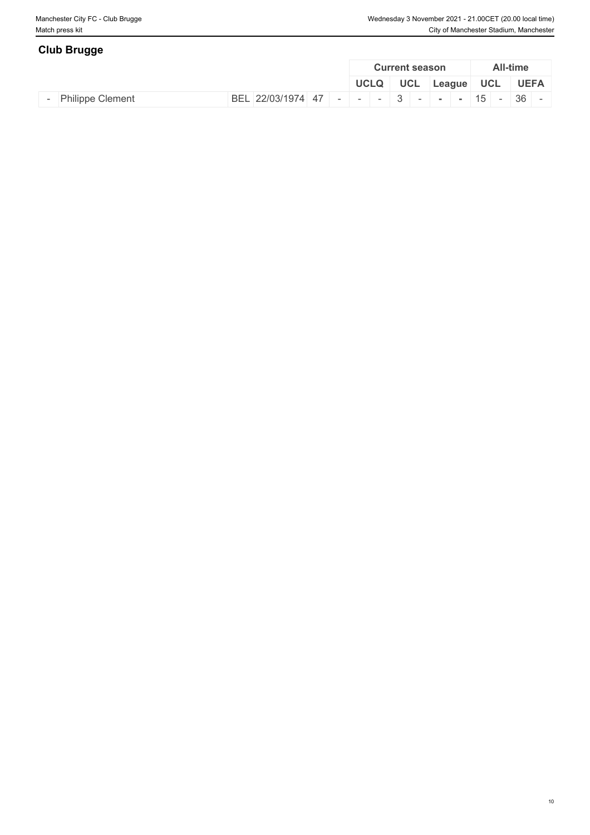| <b>Club Brugge</b>      |  |                                                                   |  |             |            |                       |        |            |                 |  |
|-------------------------|--|-------------------------------------------------------------------|--|-------------|------------|-----------------------|--------|------------|-----------------|--|
|                         |  |                                                                   |  |             |            | <b>Current season</b> |        |            | <b>All-time</b> |  |
|                         |  |                                                                   |  | <b>UCLQ</b> | <b>UCL</b> |                       | League | <b>UCL</b> | <b>UEFA</b>     |  |
| <b>Philippe Clement</b> |  | BEL 22/03/1974   47   -   -   -   3   -   -   -   15   -   36   - |  |             |            |                       |        |            |                 |  |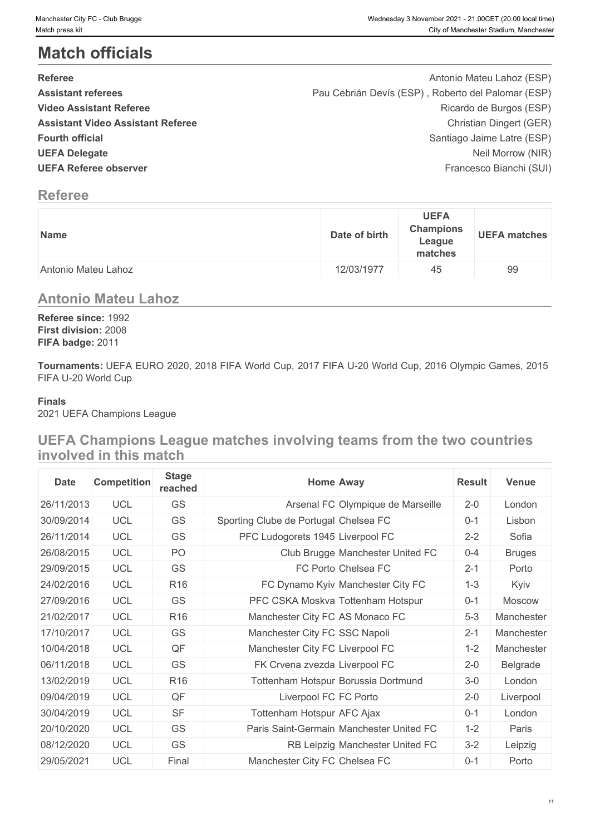# **Match officials**

| <b>Referee</b>                           | Antonio Mateu Lahoz (ESP)                          |  |
|------------------------------------------|----------------------------------------------------|--|
| <b>Assistant referees</b>                | Pau Cebrián Devís (ESP), Roberto del Palomar (ESP) |  |
| <b>Video Assistant Referee</b>           | Ricardo de Burgos (ESP)                            |  |
| <b>Assistant Video Assistant Referee</b> | Christian Dingert (GER)                            |  |
| <b>Fourth official</b>                   | Santiago Jaime Latre (ESP)                         |  |
| <b>UEFA Delegate</b>                     | Neil Morrow (NIR)                                  |  |
| <b>UEFA Referee observer</b>             | Francesco Bianchi (SUI)                            |  |
|                                          |                                                    |  |

# **Referee**

| <b>Name</b>         | <b>UEFA</b><br><b>Champions</b><br>Date of birth<br>League<br>matches | <b>UEFA matches</b> |
|---------------------|-----------------------------------------------------------------------|---------------------|
| Antonio Mateu Lahoz | 12/03/1977<br>45                                                      | 99                  |

### **Antonio Mateu Lahoz**

**Referee since:** 1992 **First division:** 2008 **FIFA badge:** 2011

**Tournaments:** UEFA EURO 2020, 2018 FIFA World Cup, 2017 FIFA U-20 World Cup, 2016 Olympic Games, 2015 FIFA U-20 World Cup

#### **Finals**

2021 UEFA Champions League

# **UEFA Champions League matches involving teams from the two countries involved in this match**

| <b>Date</b> | <b>Competition</b> | <b>Stage</b><br>reached | <b>Home Away</b>                         | <b>Result</b> | Venue         |
|-------------|--------------------|-------------------------|------------------------------------------|---------------|---------------|
| 26/11/2013  | <b>UCL</b>         | GS                      | Arsenal FC Olympique de Marseille        | $2 - 0$       | London        |
| 30/09/2014  | <b>UCL</b>         | GS                      | Sporting Clube de Portugal Chelsea FC    | $0 - 1$       | Lisbon        |
| 26/11/2014  | <b>UCL</b>         | GS                      | PFC Ludogorets 1945 Liverpool FC         | $2 - 2$       | Sofia         |
| 26/08/2015  | <b>UCL</b>         | PO                      | Club Brugge Manchester United FC         | $0 - 4$       | <b>Bruges</b> |
| 29/09/2015  | <b>UCL</b>         | GS                      | FC Porto Chelsea FC                      | $2 - 1$       | Porto         |
| 24/02/2016  | <b>UCL</b>         | R <sub>16</sub>         | FC Dynamo Kyiv Manchester City FC        | $1 - 3$       | Kyiv          |
| 27/09/2016  | <b>UCL</b>         | GS                      | PFC CSKA Moskva Tottenham Hotspur        | $0 - 1$       | <b>Moscow</b> |
| 21/02/2017  | <b>UCL</b>         | R <sub>16</sub>         | Manchester City FC AS Monaco FC          | $5 - 3$       | Manchester    |
| 17/10/2017  | <b>UCL</b>         | GS                      | Manchester City FC SSC Napoli            | $2 - 1$       | Manchester    |
| 10/04/2018  | <b>UCL</b>         | QF                      | Manchester City FC Liverpool FC          | $1 - 2$       | Manchester    |
| 06/11/2018  | <b>UCL</b>         | GS                      | FK Crvena zvezda Liverpool FC            | $2 - 0$       | Belgrade      |
| 13/02/2019  | <b>UCL</b>         | R <sub>16</sub>         | Tottenham Hotspur Borussia Dortmund      | $3-0$         | London        |
| 09/04/2019  | <b>UCL</b>         | QF                      | Liverpool FC FC Porto                    | $2 - 0$       | Liverpool     |
| 30/04/2019  | <b>UCL</b>         | <b>SF</b>               | Tottenham Hotspur AFC Ajax               | $0 - 1$       | London        |
| 20/10/2020  | <b>UCL</b>         | GS                      | Paris Saint-Germain Manchester United FC | $1 - 2$       | Paris         |
| 08/12/2020  | <b>UCL</b>         | GS                      | RB Leipzig Manchester United FC          | $3 - 2$       | Leipzig       |
| 29/05/2021  | <b>UCL</b>         | Final                   | Manchester City FC Chelsea FC            | $0 - 1$       | Porto         |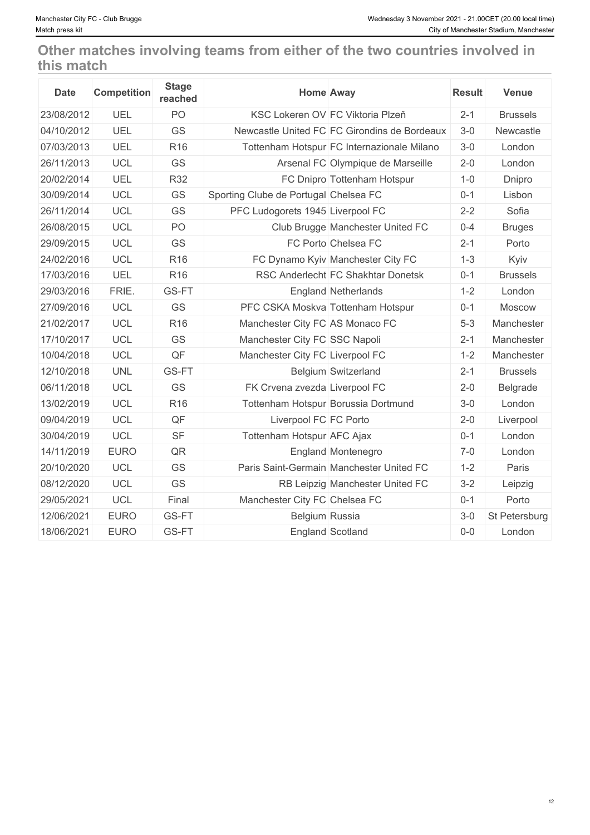# **Other matches involving teams from either of the two countries involved in this match**

| <b>Date</b> | <b>Competition</b> | <b>Stage</b><br>reached | <b>Home Away</b>                             | <b>Result</b> | <b>Venue</b>    |
|-------------|--------------------|-------------------------|----------------------------------------------|---------------|-----------------|
| 23/08/2012  | UEL                | PO                      | KSC Lokeren OV FC Viktoria Plzeň             | $2 - 1$       | <b>Brussels</b> |
| 04/10/2012  | UEL                | GS                      | Newcastle United FC FC Girondins de Bordeaux | $3-0$         | Newcastle       |
| 07/03/2013  | UEL                | R <sub>16</sub>         | Tottenham Hotspur FC Internazionale Milano   | $3-0$         | London          |
| 26/11/2013  | <b>UCL</b>         | GS                      | Arsenal FC Olympique de Marseille            | $2 - 0$       | London          |
| 20/02/2014  | UEL                | <b>R32</b>              | FC Dnipro Tottenham Hotspur                  | $1 - 0$       | Dnipro          |
| 30/09/2014  | <b>UCL</b>         | <b>GS</b>               | Sporting Clube de Portugal Chelsea FC        | $0 - 1$       | Lisbon          |
| 26/11/2014  | <b>UCL</b>         | <b>GS</b>               | PFC Ludogorets 1945 Liverpool FC             | $2 - 2$       | Sofia           |
| 26/08/2015  | <b>UCL</b>         | PO                      | Club Brugge Manchester United FC             | $0 - 4$       | <b>Bruges</b>   |
| 29/09/2015  | <b>UCL</b>         | <b>GS</b>               | FC Porto Chelsea FC                          | $2 - 1$       | Porto           |
| 24/02/2016  | <b>UCL</b>         | R <sub>16</sub>         | FC Dynamo Kyiv Manchester City FC            | $1 - 3$       | Kyiv            |
| 17/03/2016  | UEL                | R <sub>16</sub>         | RSC Anderlecht FC Shakhtar Donetsk           | $0 - 1$       | <b>Brussels</b> |
| 29/03/2016  | FRIE.              | GS-FT                   | <b>England Netherlands</b>                   | $1 - 2$       | London          |
| 27/09/2016  | <b>UCL</b>         | <b>GS</b>               | PFC CSKA Moskva Tottenham Hotspur            | $0 - 1$       | Moscow          |
| 21/02/2017  | <b>UCL</b>         | R <sub>16</sub>         | Manchester City FC AS Monaco FC              | $5 - 3$       | Manchester      |
| 17/10/2017  | <b>UCL</b>         | <b>GS</b>               | Manchester City FC SSC Napoli                | $2 - 1$       | Manchester      |
| 10/04/2018  | <b>UCL</b>         | QF                      | Manchester City FC Liverpool FC              | $1 - 2$       | Manchester      |
| 12/10/2018  | <b>UNL</b>         | GS-FT                   | <b>Belgium Switzerland</b>                   | $2 - 1$       | <b>Brussels</b> |
| 06/11/2018  | <b>UCL</b>         | <b>GS</b>               | FK Crvena zvezda Liverpool FC                | $2 - 0$       | Belgrade        |
| 13/02/2019  | <b>UCL</b>         | R <sub>16</sub>         | Tottenham Hotspur Borussia Dortmund          | $3-0$         | London          |
| 09/04/2019  | <b>UCL</b>         | QF                      | Liverpool FC FC Porto                        | $2 - 0$       | Liverpool       |
| 30/04/2019  | <b>UCL</b>         | <b>SF</b>               | Tottenham Hotspur AFC Ajax                   | $0 - 1$       | London          |
| 14/11/2019  | <b>EURO</b>        | QR                      | England Montenegro                           | $7-0$         | London          |
| 20/10/2020  | <b>UCL</b>         | <b>GS</b>               | Paris Saint-Germain Manchester United FC     | $1 - 2$       | Paris           |
| 08/12/2020  | <b>UCL</b>         | GS                      | RB Leipzig Manchester United FC              | $3 - 2$       | Leipzig         |
| 29/05/2021  | <b>UCL</b>         | Final                   | Manchester City FC Chelsea FC                | $0 - 1$       | Porto           |
| 12/06/2021  | <b>EURO</b>        | GS-FT                   | Belgium Russia                               | $3-0$         | St Petersburg   |
| 18/06/2021  | <b>EURO</b>        | GS-FT                   | England Scotland                             | $0-0$         | London          |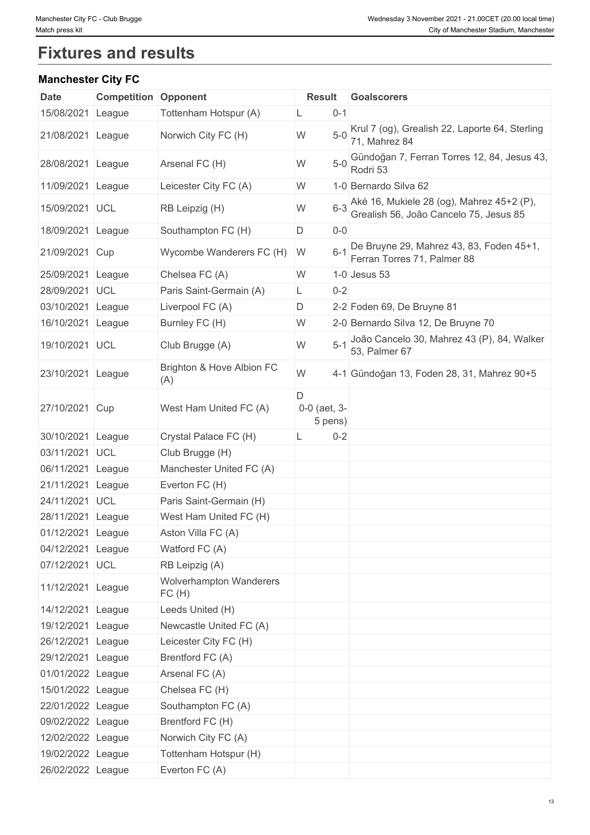# **Fixtures and results**

### **Manchester City FC**

| <b>Date</b>       | <b>Competition</b> | Opponent                                | <b>Result</b>                    | <b>Goalscorers</b>                                                                  |
|-------------------|--------------------|-----------------------------------------|----------------------------------|-------------------------------------------------------------------------------------|
| 15/08/2021        | League             | Tottenham Hotspur (A)                   | $0 - 1$                          |                                                                                     |
| 21/08/2021        | League             | Norwich City FC (H)                     | $5-0$<br>W                       | Krul 7 (og), Grealish 22, Laporte 64, Sterling<br>71, Mahrez 84                     |
| 28/08/2021 League |                    | Arsenal FC (H)                          | W<br>$5-0$                       | Gündoğan 7, Ferran Torres 12, 84, Jesus 43,<br>Rodri 53                             |
| 11/09/2021        | League             | Leicester City FC (A)                   | W                                | 1-0 Bernardo Silva 62                                                               |
| 15/09/2021 UCL    |                    | RB Leipzig (H)                          | $6 - 3$<br>W                     | Aké 16, Mukiele 28 (og), Mahrez 45+2 (P),<br>Grealish 56, João Cancelo 75, Jesus 85 |
| 18/09/2021        | League             | Southampton FC (H)                      | D<br>$0-0$                       |                                                                                     |
| 21/09/2021 Cup    |                    | Wycombe Wanderers FC (H)                | $6 - 1$<br>W                     | De Bruyne 29, Mahrez 43, 83, Foden 45+1,<br>Ferran Torres 71, Palmer 88             |
| 25/09/2021        | League             | Chelsea FC (A)                          | W                                | $1-0$ Jesus 53                                                                      |
| 28/09/2021        | UCL                | Paris Saint-Germain (A)                 | $0 - 2$<br>L                     |                                                                                     |
| 03/10/2021 League |                    | Liverpool FC (A)                        | D                                | 2-2 Foden 69, De Bruyne 81                                                          |
| 16/10/2021        | League             | Burnley FC (H)                          | W                                | 2-0 Bernardo Silva 12, De Bruyne 70                                                 |
| 19/10/2021 UCL    |                    | Club Brugge (A)                         | $5 - 1$<br>W                     | João Cancelo 30, Mahrez 43 (P), 84, Walker<br>53, Palmer 67                         |
| 23/10/2021        | League             | Brighton & Hove Albion FC<br>(A)        | W                                | 4-1 Gündoğan 13, Foden 28, 31, Mahrez 90+5                                          |
| 27/10/2021 Cup    |                    | West Ham United FC (A)                  | D<br>$0-0$ (aet, $3-$<br>5 pens) |                                                                                     |
| 30/10/2021 League |                    | Crystal Palace FC (H)                   | $0 - 2$                          |                                                                                     |
| 03/11/2021 UCL    |                    | Club Brugge (H)                         |                                  |                                                                                     |
| 06/11/2021        | League             | Manchester United FC (A)                |                                  |                                                                                     |
| 21/11/2021        | League             | Everton FC (H)                          |                                  |                                                                                     |
| 24/11/2021        | <b>UCL</b>         | Paris Saint-Germain (H)                 |                                  |                                                                                     |
| 28/11/2021 League |                    | West Ham United FC (H)                  |                                  |                                                                                     |
| 01/12/2021 League |                    | Aston Villa FC (A)                      |                                  |                                                                                     |
| 04/12/2021 League |                    | Watford FC (A)                          |                                  |                                                                                     |
| 07/12/2021 UCL    |                    | RB Leipzig (A)                          |                                  |                                                                                     |
| 11/12/2021 League |                    | <b>Wolverhampton Wanderers</b><br>FC(H) |                                  |                                                                                     |
| 14/12/2021 League |                    | Leeds United (H)                        |                                  |                                                                                     |
| 19/12/2021 League |                    | Newcastle United FC (A)                 |                                  |                                                                                     |
| 26/12/2021 League |                    | Leicester City FC (H)                   |                                  |                                                                                     |
| 29/12/2021 League |                    | Brentford FC (A)                        |                                  |                                                                                     |
| 01/01/2022 League |                    | Arsenal FC (A)                          |                                  |                                                                                     |
| 15/01/2022 League |                    | Chelsea FC (H)                          |                                  |                                                                                     |
| 22/01/2022 League |                    | Southampton FC (A)                      |                                  |                                                                                     |
| 09/02/2022 League |                    | Brentford FC (H)                        |                                  |                                                                                     |
| 12/02/2022 League |                    | Norwich City FC (A)                     |                                  |                                                                                     |
| 19/02/2022 League |                    | Tottenham Hotspur (H)                   |                                  |                                                                                     |
| 26/02/2022 League |                    | Everton FC (A)                          |                                  |                                                                                     |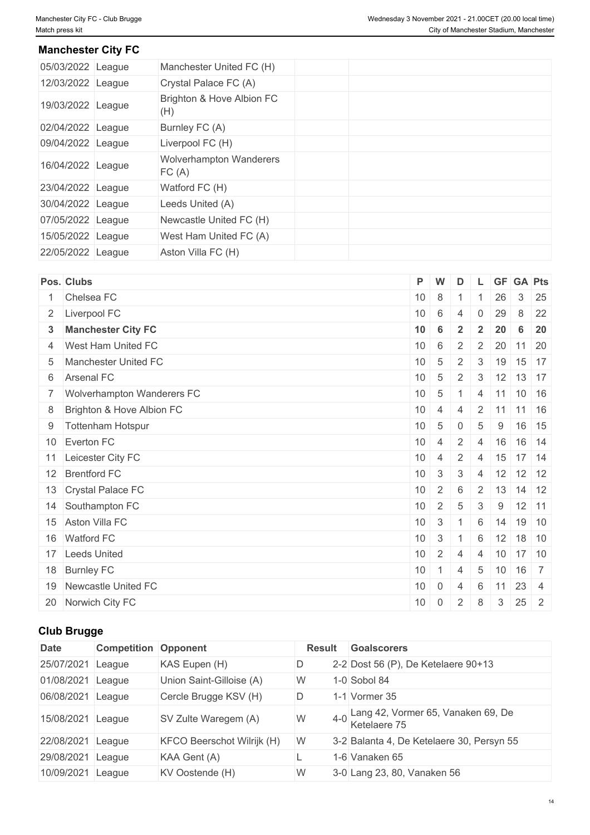### **Manchester City FC**

| 05/03/2022 League | Manchester United FC (H)         |  |  |
|-------------------|----------------------------------|--|--|
| 12/03/2022 League | Crystal Palace FC (A)            |  |  |
| 19/03/2022 League | Brighton & Hove Albion FC<br>(H) |  |  |
| 02/04/2022 League | Burnley FC (A)                   |  |  |
| 09/04/2022 League | Liverpool FC (H)                 |  |  |
| 16/04/2022 League | Wolverhampton Wanderers<br>FC(A) |  |  |
| 23/04/2022 League | Watford FC (H)                   |  |  |
| 30/04/2022 League | Leeds United (A)                 |  |  |
| 07/05/2022 League | Newcastle United FC (H)          |  |  |
| 15/05/2022 League | West Ham United FC (A)           |  |  |
| 22/05/2022 League | Aston Villa FC (H)               |  |  |
|                   |                                  |  |  |

| Pos. Clubs                   | P               | W               | D              |                |    |   | L GF GA Pts                 |
|------------------------------|-----------------|-----------------|----------------|----------------|----|---|-----------------------------|
| 1 Chelsea FC                 | 10 <sup>°</sup> | 8               |                |                | 26 |   | $3 \mid 25$                 |
| 2 Liverpool FC               | 10              | $6\phantom{1}$  | $\overline{4}$ | $\mathbf 0$    | 29 | 8 | 22                          |
| 3 Manchester City FC         | 10              | $6\phantom{1}$  | $\overline{2}$ | $\overline{2}$ | 20 | 6 | 20                          |
| 4 West Ham United FC         | 10              | $6\phantom{.}6$ | 2              | $\overline{2}$ | 20 |   | $11 \mid 20$                |
| 5 Manchester United FC       | 10              | 5               | 2              | 3              |    |   | 19 15 17                    |
| 6 Arsenal FC                 | 10              | $5\phantom{.0}$ | $\overline{2}$ | 3 <sup>1</sup> |    |   | $12$ 13 17                  |
| 7 Wolverhampton Wanderers FC | 10              | 5               |                | $\overline{4}$ | 11 |   | $10$ 16                     |
| 8 Brighton & Hove Albion FC  | 10              | $\overline{4}$  | $\overline{4}$ |                |    |   | $2 \mid 11 \mid 11 \mid 16$ |
| 9 Tottenham Hotspur          | 10              | $5\phantom{.0}$ | $\overline{0}$ | 5              | 9  |   | 16 15                       |
| 10 Everton FC                | 10 <sup>°</sup> | $\overline{4}$  | 2              | $\overline{4}$ |    |   | 16 16 14                    |
| 11 Leicester City FC         | 10              | $\overline{4}$  | 2              | $\overline{4}$ | 15 |   | 17 14                       |
| 12 Brentford FC              | 10              | $\mathbf{3}$    | 3              | $\overline{4}$ |    |   | $12$ 12 12                  |
| 13 Crystal Palace FC         | 10              | $\overline{2}$  | 6              | $2^{\circ}$    |    |   | $13 \mid 14 \mid 12$        |
| 14 Southampton FC            | 10              | $\overline{2}$  | 5              | 3              | 9  |   | $12$ 11                     |
| 15 Aston Villa FC            | 10              | $\mathbf{3}$    |                | 6              |    |   | $14$ 19 10                  |
| 16 Watford FC                | 10              | $\mathbf{3}$    |                | 6              | 12 |   | $18$ 10                     |
| 17 Leeds United              | 10              | $\overline{2}$  | 4              | $\overline{4}$ | 10 |   | 17 10                       |
| 18 Burnley FC                | 10              |                 | $\overline{4}$ | 5              | 10 |   | 16 7                        |
| 19 Newcastle United FC       | 10 <sup>°</sup> | $\overline{0}$  | 4              | 6              | 11 |   | 23 4                        |
| 20 Norwich City FC           | 10              | $\overline{0}$  | 2              | 8              | 3  |   | $25 \quad 2$                |
|                              |                 |                 |                |                |    |   |                             |

### **Club Brugge**

| <b>Date</b> | <b>Competition Opponent</b> |                                   | <b>Result</b> | <b>Goalscorers</b>                                 |
|-------------|-----------------------------|-----------------------------------|---------------|----------------------------------------------------|
| 25/07/2021  | League                      | KAS Eupen (H)                     |               | 2-2 Dost 56 (P), De Ketelaere $90+13$              |
| 01/08/2021  | League                      | Union Saint-Gilloise (A)          | W             | 1-0 Sobol 84                                       |
| 06/08/2021  | League                      | Cercle Brugge KSV (H)             | D.            | 1-1 Vormer $35$                                    |
| 15/08/2021  | League                      | SV Zulte Waregem (A)              | $4-0$<br>W    | Lang 42, Vormer 65, Vanaken 69, De<br>Ketelaere 75 |
| 22/08/2021  | League                      | <b>KFCO Beerschot Wilrijk (H)</b> | W             | 3-2 Balanta 4, De Ketelaere 30, Persyn 55          |
| 29/08/2021  | League                      | KAA Gent (A)                      |               | 1-6 Vanaken 65                                     |
| 10/09/2021  | League                      | KV Oostende (H)                   | W             | 3-0 Lang 23, 80, Vanaken 56                        |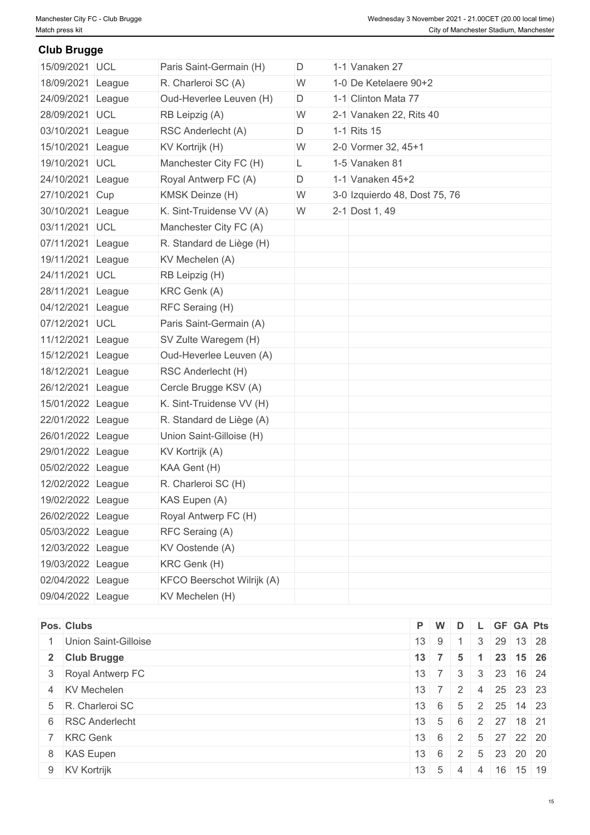**Club Brugge**

#### D 1-1 Vanaken 27 18/09/2021 League R. Charleroi SC (A) No. 1-0 De Ketelaere 90+2 D 1-1 Clinton Mata 77 W 2-1 28/09/2021 UCL RB Leipzig (A) Vanaken 22, Rits 40 D 1-1 Rits 15 W 2-0 Vormer 32, 45+1  $L \qquad 1-5$  Vanaken 81 D  $1-1$  Vanaken  $45+2$ W 3-0 27/10/2021 Cup KMSK Deinze (H) Izquierdo 48, Dost 75, 76 W 2-1 Dost 1, 49 15/09/2021 UCL Paris Saint-Germain (H) 24/09/2021 League Oud-Heverlee Leuven (H) 03/10/2021 League RSC Anderlecht (A) D 1-1 Rits 15  $15/10/2021$  League KV Kortrijk (H) 19/10/2021 UCL Manchester City FC (H)  $24/10/2021$  League Royal Antwerp FC (A)  $30/10/2021$  League K. Sint-Truidense VV (A) 03/11/2021 UCL Manchester City FC (A) 07/11/2021 League R. Standard de Liège (H) 19/11/2021 League KV Mechelen (A) 24/11/2021 UCL RB Leipzig (H) 28/11/2021 League KRC Genk (A) 04/12/2021 League RFC Seraing (H) 07/12/2021 UCL Paris Saint-Germain (A) 11/12/2021 League SV Zulte Waregem (H) 15/12/2021 League Oud-Heverlee Leuven (A) 18/12/2021 League RSC Anderlecht (H) 26/12/2021 League Cercle Brugge KSV (A) 15/01/2022 League K. Sint-Truidense VV (H) 22/01/2022 League R. Standard de Liège (A) 26/01/2022 League Union Saint-Gilloise (H) 29/01/2022 League KV Kortrijk (A) 05/02/2022 League KAA Gent (H) 12/02/2022 League R. Charleroi SC (H) 19/02/2022 League KAS Eupen (A) 26/02/2022 League Royal Antwerp FC (H) 05/03/2022 League RFC Seraing (A) 12/03/2022 League KV Oostende (A) 19/03/2022 League KRC Genk (H) 02/04/2022 League KFCO Beerschot Wilrijk (A) 09/04/2022 League KV Mechelen (H)

| Pos. Clubs           | P W                |                         | D  |           | L GF GA Pts                                       |  |
|----------------------|--------------------|-------------------------|----|-----------|---------------------------------------------------|--|
| Union Saint-Gilloise | $13 \mid 9$        |                         |    | $\vert$ 3 | 29 13 28                                          |  |
| 2 Club Brugge        | $13 \mid 7 \mid 5$ |                         |    |           | 23 15 26                                          |  |
| 3 Royal Antwerp FC   | 13                 | $\vert 7 \vert$         | 3  |           | $3 \mid 23 \mid 16 \mid 24$                       |  |
| 4 KV Mechelen        |                    |                         |    |           | $13 \mid 7 \mid 2 \mid 4 \mid 25 \mid 23 \mid 23$ |  |
| 5 R. Charleroi SC    | $13 \quad 6$       |                         | 5  |           | 2   25   14   23                                  |  |
| 6 RSC Anderlecht     | 13                 | 5 <sup>5</sup>          | 6  |           | 2 27 18 21                                        |  |
| 7 KRC Genk           |                    | $13 \mid 6 \mid 2 \mid$ |    |           | 5 27 22 20                                        |  |
| 8 KAS Eupen          |                    | $13 \mid 6 \mid 2 \mid$ |    |           | 5 23 20 20                                        |  |
| 9 KV Kortrijk        |                    | $13 \mid 5 \mid$        | -4 | 4         | $16$ 15 19                                        |  |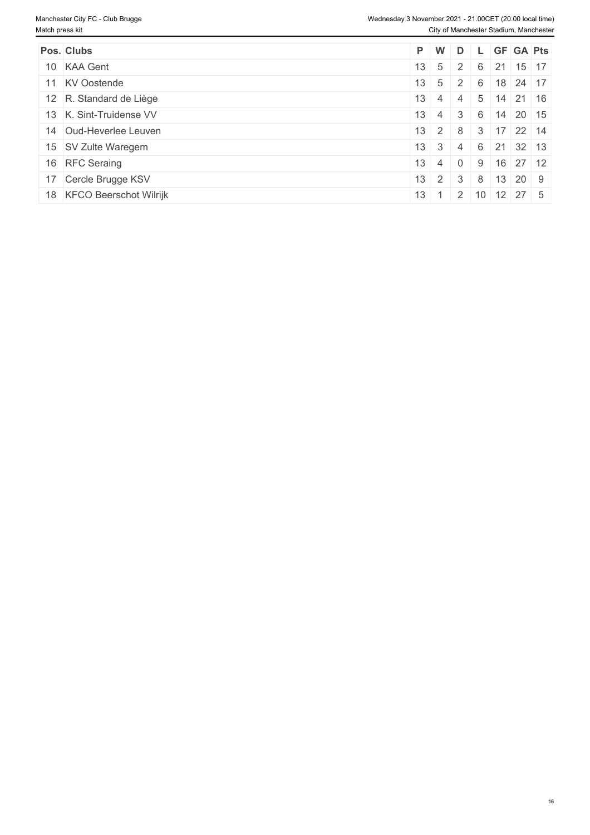| Pos. Clubs                                 |                           |           |          |   | $P$ W D L GF GA Pts         |  |
|--------------------------------------------|---------------------------|-----------|----------|---|-----------------------------|--|
|                                            |                           |           |          |   |                             |  |
| 10 KAA Gent                                | $13 \mid 5$               | $\vert$ 2 |          | 6 | $21$ 15 17                  |  |
| 11 KV Oostende                             | $13 \mid 5 \mid 2 \mid 6$ |           |          |   | $18$ 24 17                  |  |
| 12 R. Standard de Liège                    | $13 \mid 4$               | $\vert$ 4 |          |   | $5 \mid 14 \mid 21 \mid 16$ |  |
| 13 K. Sint-Truidense VV<br>13 <sup>1</sup> |                           | $\sim$ 4  | 3        | 6 | $14$ 20 15                  |  |
| 14 Oud-Heverlee Leuven                     | $13 \quad 2 \quad 8$      |           |          |   | $3 \mid 17 \mid 22 \mid 14$ |  |
| 15 SV Zulte Waregem                        | $13 \mid 3 \mid 4$        |           |          |   | 6 21 32 13                  |  |
| 16 RFC Seraing<br>13 <sup>1</sup>          | $\overline{4}$            |           | $\Omega$ | 9 | $16$ 27 12                  |  |
| 17 Cercle Brugge KSV                       | $13 \mid 2 \mid 3$        |           |          | 8 | $13$ 20 9                   |  |
| 18 KFCO Beerschot Wilrijk<br>13            |                           |           |          |   | $1 \t2 \t10 \t12 \t27 \t5$  |  |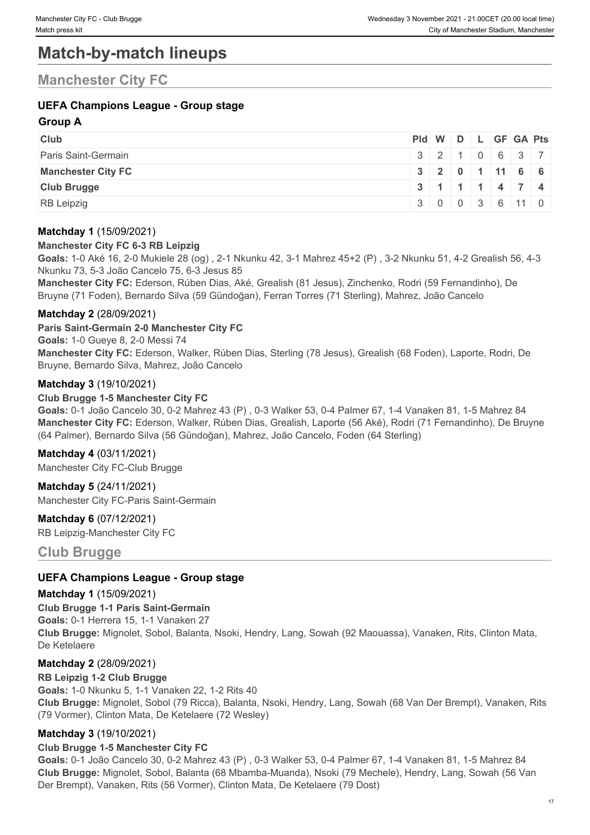# **Match-by-match lineups**

# **Manchester City FC**

### **UEFA Champions League - Group stage**

#### **Group A**

| <b>Club</b>               | Pid W D L GF GA Pts |  |  |                                        |
|---------------------------|---------------------|--|--|----------------------------------------|
| Paris Saint-Germain       | 3210637             |  |  |                                        |
| <b>Manchester City FC</b> |                     |  |  | 3   2   0   1   11   6   6             |
| <b>Club Brugge</b>        |                     |  |  | $3 \mid 1 \mid 1 \mid 4 \mid 7 \mid 4$ |
| <b>RB</b> Leipzig         |                     |  |  | 3 0 0 3 6 11 0                         |

#### **Matchday 1** (15/09/2021)

#### **Manchester City FC 6-3 RB Leipzig**

**Goals:** 1-0 Aké 16, 2-0 Mukiele 28 (og) , 2-1 Nkunku 42, 3-1 Mahrez 45+2 (P) , 3-2 Nkunku 51, 4-2 Grealish 56, 4-3 Nkunku 73, 5-3 João Cancelo 75, 6-3 Jesus 85

**Manchester City FC:** Ederson, Rúben Dias, Aké, Grealish (81 Jesus), Zinchenko, Rodri (59 Fernandinho), De Bruyne (71 Foden), Bernardo Silva (59 Gündoğan), Ferran Torres (71 Sterling), Mahrez, João Cancelo

#### **Matchday 2** (28/09/2021)

**Paris Saint-Germain 2-0 Manchester City FC Goals:** 1-0 Gueye 8, 2-0 Messi 74 **Manchester City FC:** Ederson, Walker, Rúben Dias, Sterling (78 Jesus), Grealish (68 Foden), Laporte, Rodri, De Bruyne, Bernardo Silva, Mahrez, João Cancelo

#### **Matchday 3** (19/10/2021)

#### **Club Brugge 1-5 Manchester City FC**

**Goals:** 0-1 João Cancelo 30, 0-2 Mahrez 43 (P) , 0-3 Walker 53, 0-4 Palmer 67, 1-4 Vanaken 81, 1-5 Mahrez 84 **Manchester City FC:** Ederson, Walker, Rúben Dias, Grealish, Laporte (56 Aké), Rodri (71 Fernandinho), De Bruyne (64 Palmer), Bernardo Silva (56 Gündoğan), Mahrez, João Cancelo, Foden (64 Sterling)

**Matchday 4** (03/11/2021) Manchester City FC-Club Brugge

**Matchday 5** (24/11/2021) Manchester City FC-Paris Saint-Germain

**Matchday 6** (07/12/2021) RB Leipzig-Manchester City FC

**Club Brugge**

#### **UEFA Champions League - Group stage**

**Matchday 1** (15/09/2021) **Club Brugge 1-1 Paris Saint-Germain Goals:** 0-1 Herrera 15, 1-1 Vanaken 27 **Club Brugge:** Mignolet, Sobol, Balanta, Nsoki, Hendry, Lang, Sowah (92 Maouassa), Vanaken, Rits, Clinton Mata, De Ketelaere

#### **Matchday 2** (28/09/2021)

**RB Leipzig 1-2 Club Brugge Goals:** 1-0 Nkunku 5, 1-1 Vanaken 22, 1-2 Rits 40 **Club Brugge:** Mignolet, Sobol (79 Ricca), Balanta, Nsoki, Hendry, Lang, Sowah (68 Van Der Brempt), Vanaken, Rits (79 Vormer), Clinton Mata, De Ketelaere (72 Wesley)

#### **Matchday 3** (19/10/2021)

#### **Club Brugge 1-5 Manchester City FC**

**Goals:** 0-1 João Cancelo 30, 0-2 Mahrez 43 (P) , 0-3 Walker 53, 0-4 Palmer 67, 1-4 Vanaken 81, 1-5 Mahrez 84 **Club Brugge:** Mignolet, Sobol, Balanta (68 Mbamba-Muanda), Nsoki (79 Mechele), Hendry, Lang, Sowah (56 Van Der Brempt), Vanaken, Rits (56 Vormer), Clinton Mata, De Ketelaere (79 Dost)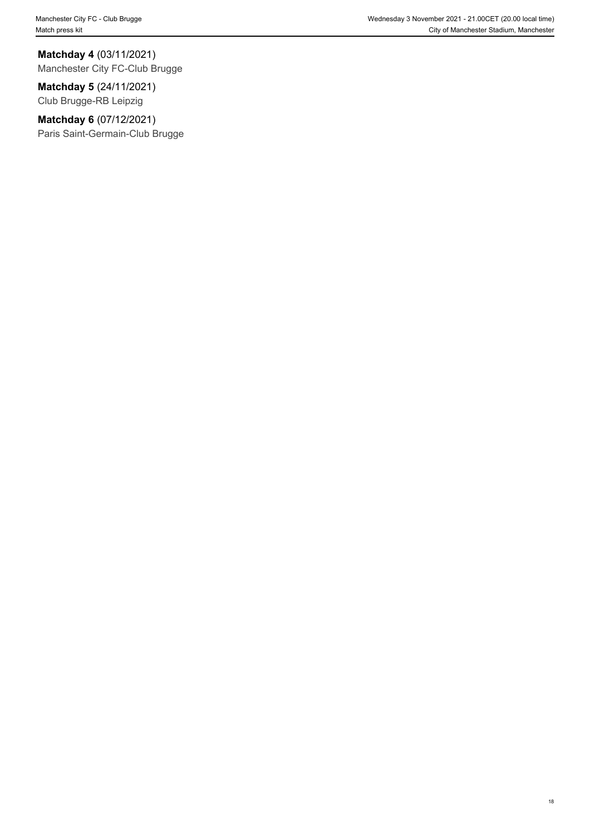#### **Matchday 4** (03/11/2021)

Manchester City FC-Club Brugge

#### **Matchday 5** (24/11/2021)

Club Brugge-RB Leipzig

### **Matchday 6** (07/12/2021)

Paris Saint-Germain-Club Brugge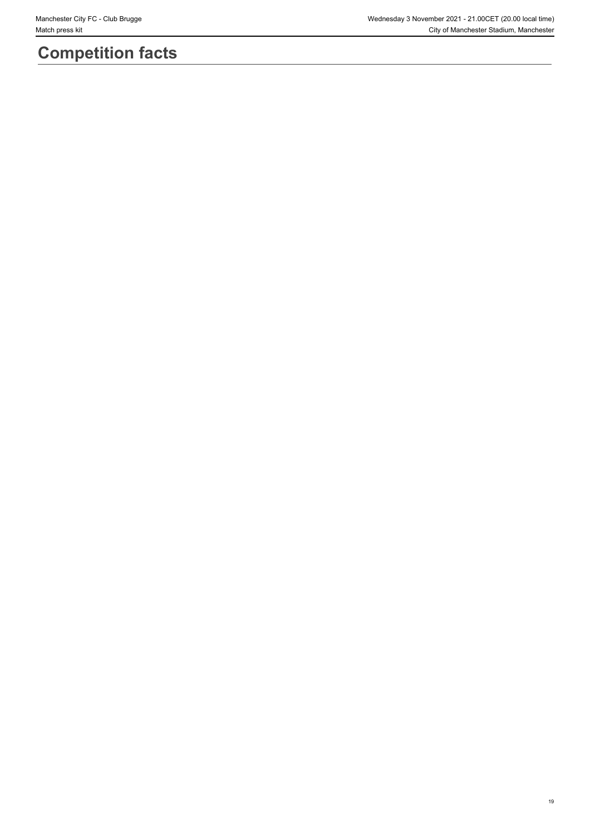# **Competition facts**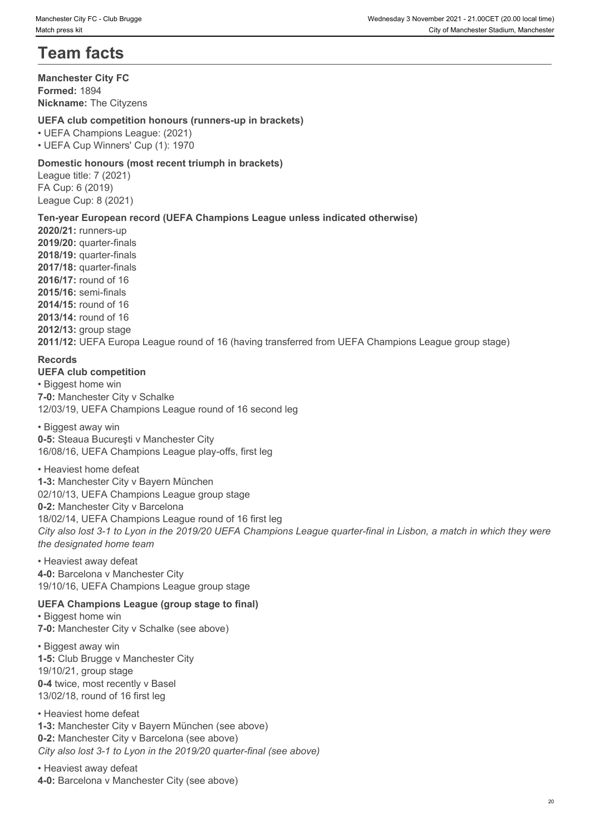# **Team facts**

#### **Manchester City FC Formed:** 1894 **Nickname:** The Cityzens

#### **UEFA club competition honours (runners-up in brackets)**

• UEFA Champions League: (2021)

• UEFA Cup Winners' Cup (1): 1970

#### **Domestic honours (most recent triumph in brackets)**

League title: 7 (2021) FA Cup: 6 (2019) League Cup: 8 (2021)

#### **Ten-year European record (UEFA Champions League unless indicated otherwise)**

**2020/21:** runners-up **2019/20:** quarter-finals **2018/19:** quarter-finals **2017/18:** quarter-finals **2016/17:** round of 16 **2015/16:** semi-finals **2014/15:** round of 16 **2013/14:** round of 16 **2012/13:** group stage

**2011/12:** UEFA Europa League round of 16 (having transferred from UEFA Champions League group stage)

#### **Records**

#### **UEFA club competition**

• Biggest home win **7-0:** Manchester City v Schalke 12/03/19, UEFA Champions League round of 16 second leg

#### • Biggest away win

**0-5:** Steaua Bucureşti v Manchester City 16/08/16, UEFA Champions League play-offs, first leg

#### • Heaviest home defeat

**1-3:** Manchester City v Bayern München 02/10/13, UEFA Champions League group stage **0-2:** Manchester City v Barcelona 18/02/14, UEFA Champions League round of 16 first leg *City also lost 3-1 to Lyon in the 2019/20 UEFA Champions League quarter-final in Lisbon, a match in which they were the designated home team*

• Heaviest away defeat **4-0:** Barcelona v Manchester City 19/10/16, UEFA Champions League group stage

#### **UEFA Champions League (group stage to final)**

• Biggest home win **7-0:** Manchester City v Schalke (see above)

• Biggest away win **1-5:** Club Brugge v Manchester City 19/10/21, group stage **0-4** twice, most recently v Basel 13/02/18, round of 16 first leg

• Heaviest home defeat **1-3:** Manchester City v Bayern München (see above) **0-2:** Manchester City v Barcelona (see above) *City also lost 3-1 to Lyon in the 2019/20 quarter-final (see above)*

• Heaviest away defeat **4-0:** Barcelona v Manchester City (see above)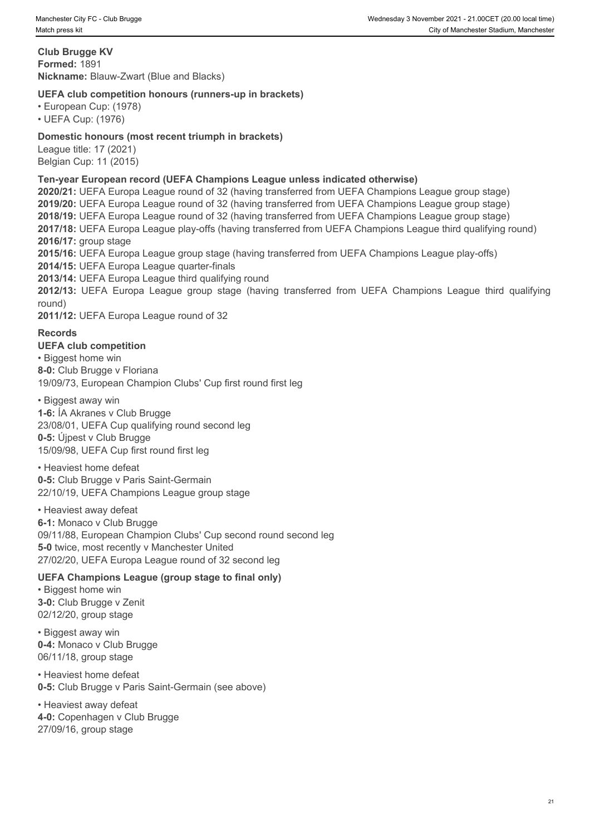**Club Brugge KV Formed:** 1891 **Nickname:** Blauw-Zwart (Blue and Blacks)

#### **UEFA club competition honours (runners-up in brackets)**

• European Cup: (1978)

• UEFA Cup: (1976)

#### **Domestic honours (most recent triumph in brackets)**

League title: 17 (2021) Belgian Cup: 11 (2015)

#### **Ten-year European record (UEFA Champions League unless indicated otherwise)**

**2020/21:** UEFA Europa League round of 32 (having transferred from UEFA Champions League group stage) **2019/20:** UEFA Europa League round of 32 (having transferred from UEFA Champions League group stage) **2018/19:** UEFA Europa League round of 32 (having transferred from UEFA Champions League group stage) **2017/18:** UEFA Europa League play-offs (having transferred from UEFA Champions League third qualifying round) **2016/17:** group stage **2015/16:** UEFA Europa League group stage (having transferred from UEFA Champions League play-offs) **2014/15:** UEFA Europa League quarter-finals **2013/14:** UEFA Europa League third qualifying round **2012/13:** UEFA Europa League group stage (having transferred from UEFA Champions League fluid qualifying Club Brugge KV<br> **2012/13: Brown Content Club competition honours (runners-up in brackets)**<br> **2012/12: Club competiti** round) **2011/12:** UEFA Europa League round of 32

#### **Records**

**UEFA club competition** • Biggest home win **8-0:** Club Brugge v Floriana 19/09/73, European Champion Clubs' Cup first round first leg

• Biggest away win

**1-6:** ÍA Akranes v Club Brugge 23/08/01, UEFA Cup qualifying round second leg

**0-5:** Újpest v Club Brugge 15/09/98, UEFA Cup first round first leg

• Heaviest home defeat **0-5:** Club Brugge v Paris Saint-Germain 22/10/19, UEFA Champions League group stage

• Heaviest away defeat **6-1:** Monaco v Club Brugge 09/11/88, European Champion Clubs' Cup second round second leg **5-0** twice, most recently v Manchester United 27/02/20, UEFA Europa League round of 32 second leg

#### **UEFA Champions League (group stage to final only)**

• Biggest home win **3-0:** Club Brugge v Zenit 02/12/20, group stage

• Biggest away win **0-4:** Monaco v Club Brugge 06/11/18, group stage

• Heaviest home defeat **0-5:** Club Brugge v Paris Saint-Germain (see above)

• Heaviest away defeat **4-0:** Copenhagen v Club Brugge 27/09/16, group stage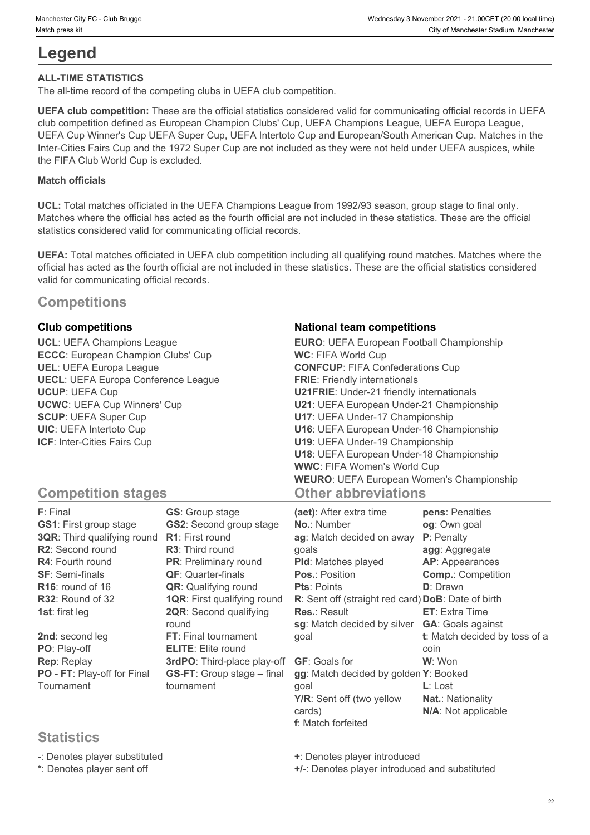# **Legend**

#### **ALL-TIME STATISTICS**

The all-time record of the competing clubs in UEFA club competition.

**UEFA club competition:** These are the official statistics considered valid for communicating official records in UEFA club competition defined as European Champion Clubs' Cup, UEFA Champions League, UEFA Europa League, UEFA Cup Winner's Cup UEFA Super Cup, UEFA Intertoto Cup and European/South American Cup. Matches in the Inter-Cities Fairs Cup and the 1972 Super Cup are not included as they were not held under UEFA auspices, while the FIFA Club World Cup is excluded.

#### **Match officials**

**UCL:** Total matches officiated in the UEFA Champions League from 1992/93 season, group stage to final only. Matches where the official has acted as the fourth official are not included in these statistics. These are the official statistics considered valid for communicating official records.

**UEFA:** Total matches officiated in UEFA club competition including all qualifying round matches. Matches where the official has acted as the fourth official are not included in these statistics. These are the official statistics considered valid for communicating official records.

# **Competitions**

**ECCC**: European Champion Clubs' Cup **UECL**: UEFA Europa Conference League

#### **Club competitions National team competitions**

**UCL**: UEFA Champions League **EURO**: UEFA European Football Championship **UEL**: UEFA Europa League **CONFCUP**: FIFA Confederations Cup **UCUP**: UEFA Cup **U21FRIE**: Under-21 friendly internationals **UCWC**: UEFA Cup Winners' Cup **U21**: UEFA European Under-21 Championship **SCUP**: UEFA Super Cup **U17**: UEFA Under-17 Championship **UIC**: UEFA Intertoto Cup **U16**: UEFA European Under-16 Championship **ICF**: Inter-Cities Fairs Cup **U19**: UEFA Under-19 Championship **WC**: FIFA World Cup **FRIE**: Friendly internationals **U18**: UEFA European Under-18 Championship **WWC**: FIFA Women's World Cup **WEURO**: UEFA European Women's Championship **Other abbreviations**

# **Competition stages**

| F: Final                      | <b>GS:</b> Group stage             | (aet): After extra time                            | pens: Penalties               |
|-------------------------------|------------------------------------|----------------------------------------------------|-------------------------------|
| <b>GS1: First group stage</b> | <b>GS2:</b> Second group stage     | <b>No.: Number</b>                                 | og: Own goal                  |
| 3QR: Third qualifying round   | <b>R1:</b> First round             | ag: Match decided on away                          | <b>P</b> : Penalty            |
| R2: Second round              | <b>R3:</b> Third round             | qoals                                              | agg: Aggregate                |
| <b>R4: Fourth round</b>       | PR: Preliminary round              | <b>PId:</b> Matches played                         | <b>AP:</b> Appearances        |
| <b>SF: Semi-finals</b>        | <b>QF:</b> Quarter-finals          | <b>Pos.: Position</b>                              | <b>Comp.: Competition</b>     |
| R <sub>16</sub> : round of 16 | <b>QR:</b> Qualifying round        | <b>Pts: Points</b>                                 | <b>D</b> : Drawn              |
| R32: Round of 32              | <b>1QR:</b> First qualifying round | R: Sent off (straight red card) DoB: Date of birth |                               |
| 1st: first leg                | <b>2QR:</b> Second qualifying      | <b>Res.: Result</b>                                | <b>ET:</b> Extra Time         |
|                               | round                              | sg: Match decided by silver                        | <b>GA: Goals against</b>      |
| 2nd: second leg               | FT: Final tournament               | goal                                               | t: Match decided by toss of a |
| PO: Play-off                  | <b>ELITE:</b> Elite round          |                                                    | coin                          |
| Rep: Replay                   | 3rdPO: Third-place play-off        | <b>GF: Goals for</b>                               | W: Won                        |
| PO - FT: Play-off for Final   | <b>GS-FT:</b> Group stage - final  | gg: Match decided by golden Y: Booked              |                               |
| Tournament                    | tournament                         | qoal                                               | $L:$ Lost                     |
|                               |                                    | Y/R: Sent off (two yellow                          | <b>Nat.: Nationality</b>      |
|                               |                                    | cards)                                             | N/A: Not applicable           |
|                               |                                    | <b>f</b> : Match forfeited                         |                               |

# **Statistics**

**-**: Denotes player substituted **+**: Denotes player introduced

**\***: Denotes player sent off **+/-**: Denotes player introduced and substituted